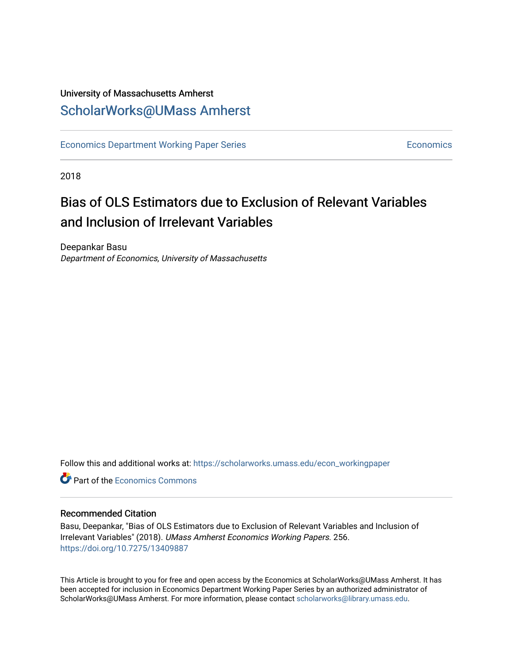# University of Massachusetts Amherst [ScholarWorks@UMass Amherst](https://scholarworks.umass.edu/)

[Economics Department Working Paper Series](https://scholarworks.umass.edu/econ_workingpaper) **Economics** Economics

2018

# Bias of OLS Estimators due to Exclusion of Relevant Variables and Inclusion of Irrelevant Variables

Deepankar Basu Department of Economics, University of Massachusetts

Follow this and additional works at: [https://scholarworks.umass.edu/econ\\_workingpaper](https://scholarworks.umass.edu/econ_workingpaper?utm_source=scholarworks.umass.edu%2Fecon_workingpaper%2F256&utm_medium=PDF&utm_campaign=PDFCoverPages) 

**C** Part of the [Economics Commons](http://network.bepress.com/hgg/discipline/340?utm_source=scholarworks.umass.edu%2Fecon_workingpaper%2F256&utm_medium=PDF&utm_campaign=PDFCoverPages)

#### Recommended Citation

Basu, Deepankar, "Bias of OLS Estimators due to Exclusion of Relevant Variables and Inclusion of Irrelevant Variables" (2018). UMass Amherst Economics Working Papers. 256. <https://doi.org/10.7275/13409887>

This Article is brought to you for free and open access by the Economics at ScholarWorks@UMass Amherst. It has been accepted for inclusion in Economics Department Working Paper Series by an authorized administrator of ScholarWorks@UMass Amherst. For more information, please contact [scholarworks@library.umass.edu.](mailto:scholarworks@library.umass.edu)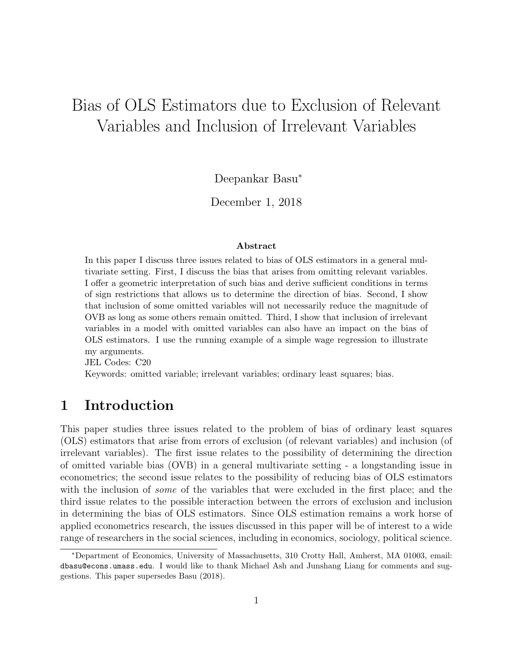# Bias of OLS Estimators due to Exclusion of Relevant Variables and Inclusion of Irrelevant Variables

Deepankar Basu<sup>∗</sup>

December 1, 2018

#### Abstract

In this paper I discuss three issues related to bias of OLS estimators in a general multivariate setting. First, I discuss the bias that arises from omitting relevant variables. I offer a geometric interpretation of such bias and derive sufficient conditions in terms of sign restrictions that allows us to determine the direction of bias. Second, I show that inclusion of some omitted variables will not necessarily reduce the magnitude of OVB as long as some others remain omitted. Third, I show that inclusion of irrelevant variables in a model with omitted variables can also have an impact on the bias of OLS estimators. I use the running example of a simple wage regression to illustrate my arguments.

JEL Codes: C20 Keywords: omitted variable; irrelevant variables; ordinary least squares; bias.

# 1 Introduction

This paper studies three issues related to the problem of bias of ordinary least squares (OLS) estimators that arise from errors of exclusion (of relevant variables) and inclusion (of irrelevant variables). The first issue relates to the possibility of determining the direction of omitted variable bias (OVB) in a general multivariate setting - a longstanding issue in econometrics; the second issue relates to the possibility of reducing bias of OLS estimators with the inclusion of *some* of the variables that were excluded in the first place; and the third issue relates to the possible interaction between the errors of exclusion and inclusion in determining the bias of OLS estimators. Since OLS estimation remains a work horse of applied econometrics research, the issues discussed in this paper will be of interest to a wide range of researchers in the social sciences, including in economics, sociology, political science.

<sup>∗</sup>Department of Economics, University of Massachusetts, 310 Crotty Hall, Amherst, MA 01003, email: dbasu@econs.umass.edu. I would like to thank Michael Ash and Junshang Liang for comments and suggestions. This paper supersedes Basu (2018).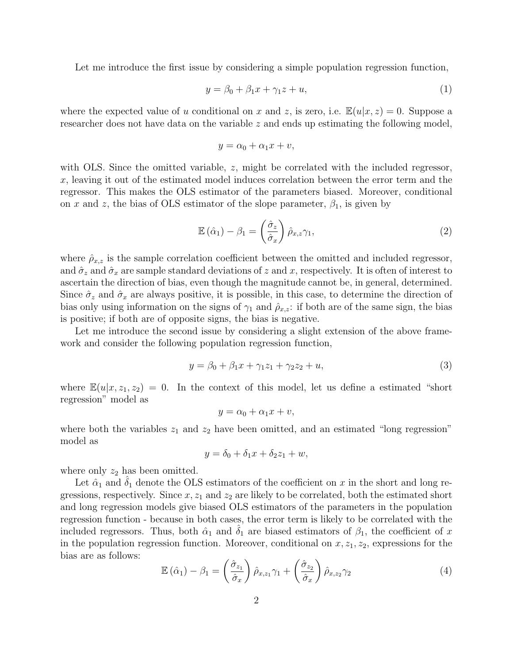Let me introduce the first issue by considering a simple population regression function,

$$
y = \beta_0 + \beta_1 x + \gamma_1 z + u,\tag{1}
$$

where the expected value of u conditional on x and z, is zero, i.e.  $\mathbb{E}(u|x, z) = 0$ . Suppose a researcher does not have data on the variable z and ends up estimating the following model,

$$
y = \alpha_0 + \alpha_1 x + v,
$$

with OLS. Since the omitted variable, z, might be correlated with the included regressor, x, leaving it out of the estimated model induces correlation between the error term and the regressor. This makes the OLS estimator of the parameters biased. Moreover, conditional on x and z, the bias of OLS estimator of the slope parameter,  $\beta_1$ , is given by

$$
\mathbb{E}\left(\hat{\alpha}_1\right) - \beta_1 = \left(\frac{\hat{\sigma}_z}{\hat{\sigma}_x}\right)\hat{\rho}_{x,z}\gamma_1,\tag{2}
$$

where  $\hat{\rho}_{x,z}$  is the sample correlation coefficient between the omitted and included regressor, and  $\hat{\sigma}_z$  and  $\hat{\sigma}_x$  are sample standard deviations of z and x, respectively. It is often of interest to ascertain the direction of bias, even though the magnitude cannot be, in general, determined. Since  $\hat{\sigma}_z$  and  $\hat{\sigma}_x$  are always positive, it is possible, in this case, to determine the direction of bias only using information on the signs of  $\gamma_1$  and  $\hat{\rho}_{x,z}$ : if both are of the same sign, the bias is positive; if both are of opposite signs, the bias is negative.

Let me introduce the second issue by considering a slight extension of the above framework and consider the following population regression function,

$$
y = \beta_0 + \beta_1 x + \gamma_1 z_1 + \gamma_2 z_2 + u,\tag{3}
$$

where  $\mathbb{E}(u|x, z_1, z_2) = 0$ . In the context of this model, let us define a estimated "short" regression" model as

$$
y = \alpha_0 + \alpha_1 x + v,
$$

where both the variables  $z_1$  and  $z_2$  have been omitted, and an estimated "long regression" model as

$$
y = \delta_0 + \delta_1 x + \delta_2 z_1 + w,
$$

where only  $z_2$  has been omitted.

Let  $\hat{\alpha}_1$  and  $\delta_1$  denote the OLS estimators of the coefficient on x in the short and long regressions, respectively. Since  $x, z_1$  and  $z_2$  are likely to be correlated, both the estimated short and long regression models give biased OLS estimators of the parameters in the population regression function - because in both cases, the error term is likely to be correlated with the included regressors. Thus, both  $\hat{\alpha}_1$  and  $\hat{\delta}_1$  are biased estimators of  $\beta_1$ , the coefficient of x in the population regression function. Moreover, conditional on  $x, z_1, z_2$ , expressions for the bias are as follows:

$$
\mathbb{E}\left(\hat{\alpha}_{1}\right) - \beta_{1} = \left(\frac{\hat{\sigma}_{z_{1}}}{\hat{\sigma}_{x}}\right)\hat{\rho}_{x,z_{1}}\gamma_{1} + \left(\frac{\hat{\sigma}_{z_{2}}}{\hat{\sigma}_{x}}\right)\hat{\rho}_{x,z_{2}}\gamma_{2}
$$
\n(4)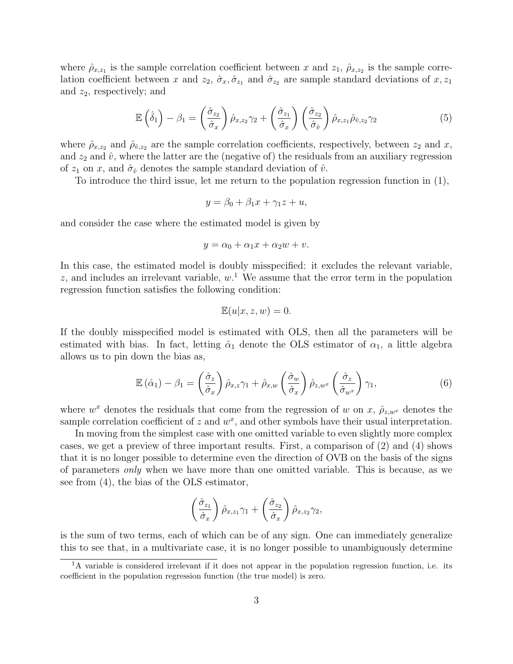where  $\hat{\rho}_{x,z_1}$  is the sample correlation coefficient between x and  $z_1$ ,  $\hat{\rho}_{x,z_2}$  is the sample correlation coefficient between x and  $z_2$ ,  $\hat{\sigma}_x$ ,  $\hat{\sigma}_{z_1}$  and  $\hat{\sigma}_{z_2}$  are sample standard deviations of  $x, z_1$ and  $z_2$ , respectively; and

$$
\mathbb{E}\left(\hat{\delta}_1\right) - \beta_1 = \left(\frac{\hat{\sigma}_{z_2}}{\hat{\sigma}_x}\right)\hat{\rho}_{x,z_2}\gamma_2 + \left(\frac{\hat{\sigma}_{z_1}}{\hat{\sigma}_x}\right)\left(\frac{\hat{\sigma}_{z_2}}{\hat{\sigma}_\hat{v}}\right)\hat{\rho}_{x,z_1}\hat{\rho}_{\hat{v},z_2}\gamma_2\tag{5}
$$

where  $\hat{\rho}_{x,z_2}$  and  $\hat{\rho}_{\hat{v},z_2}$  are the sample correlation coefficients, respectively, between  $z_2$  and  $x$ , and  $z_2$  and  $\hat{v}$ , where the latter are the (negative of) the residuals from an auxiliary regression of  $z_1$  on x, and  $\hat{\sigma}_{\hat{v}}$  denotes the sample standard deviation of  $\hat{v}$ .

To introduce the third issue, let me return to the population regression function in (1),

$$
y = \beta_0 + \beta_1 x + \gamma_1 z + u,
$$

and consider the case where the estimated model is given by

$$
y = \alpha_0 + \alpha_1 x + \alpha_2 w + v.
$$

In this case, the estimated model is doubly misspecified: it excludes the relevant variable, z, and includes an irrelevant variable,  $w<sup>1</sup>$ . We assume that the error term in the population regression function satisfies the following condition:

$$
\mathbb{E}(u|x,z,w) = 0.
$$

If the doubly misspecified model is estimated with OLS, then all the parameters will be estimated with bias. In fact, letting  $\hat{\alpha}_1$  denote the OLS estimator of  $\alpha_1$ , a little algebra allows us to pin down the bias as,

$$
\mathbb{E}\left(\hat{\alpha}_{1}\right) - \beta_{1} = \left(\frac{\hat{\sigma}_{z}}{\hat{\sigma}_{x}}\right)\hat{\rho}_{x,z}\gamma_{1} + \hat{\rho}_{x,w}\left(\frac{\hat{\sigma}_{w}}{\hat{\sigma}_{x}}\right)\hat{\rho}_{z,w^{x}}\left(\frac{\hat{\sigma}_{z}}{\hat{\sigma}_{w^{x}}}\right)\gamma_{1},\tag{6}
$$

where  $w^x$  denotes the residuals that come from the regression of w on x,  $\hat{\rho}_{z,w^x}$  denotes the sample correlation coefficient of  $z$  and  $w^x$ , and other symbols have their usual interpretation.

In moving from the simplest case with one omitted variable to even slightly more complex cases, we get a preview of three important results. First, a comparison of (2) and (4) shows that it is no longer possible to determine even the direction of OVB on the basis of the signs of parameters only when we have more than one omitted variable. This is because, as we see from (4), the bias of the OLS estimator,

$$
\left(\frac{\hat{\sigma}_{z_1}}{\hat{\sigma}_x}\right)\hat{\rho}_{x,z_1}\gamma_1 + \left(\frac{\hat{\sigma}_{z_2}}{\hat{\sigma}_x}\right)\hat{\rho}_{x,z_2}\gamma_2,
$$

is the sum of two terms, each of which can be of any sign. One can immediately generalize this to see that, in a multivariate case, it is no longer possible to unambiguously determine

<sup>&</sup>lt;sup>1</sup>A variable is considered irrelevant if it does not appear in the population regression function, i.e. its coefficient in the population regression function (the true model) is zero.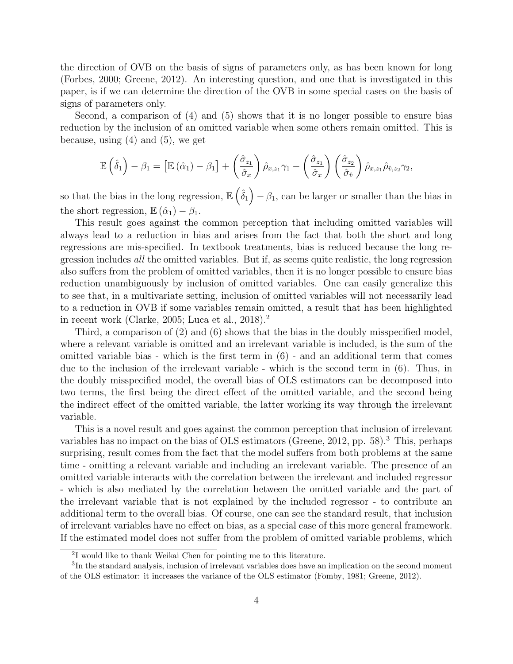the direction of OVB on the basis of signs of parameters only, as has been known for long (Forbes, 2000; Greene, 2012). An interesting question, and one that is investigated in this paper, is if we can determine the direction of the OVB in some special cases on the basis of signs of parameters only.

Second, a comparison of (4) and (5) shows that it is no longer possible to ensure bias reduction by the inclusion of an omitted variable when some others remain omitted. This is because, using  $(4)$  and  $(5)$ , we get

$$
\mathbb{E}\left(\hat{\delta}_1\right) - \beta_1 = \left[\mathbb{E}\left(\hat{\alpha}_1\right) - \beta_1\right] + \left(\frac{\hat{\sigma}_{z_1}}{\hat{\sigma}_x}\right)\hat{\rho}_{x,z_1}\gamma_1 - \left(\frac{\hat{\sigma}_{z_1}}{\hat{\sigma}_x}\right)\left(\frac{\hat{\sigma}_{z_2}}{\hat{\sigma}_{\hat{v}}}\right)\hat{\rho}_{x,z_1}\hat{\rho}_{\hat{v},z_2}\gamma_2,
$$

so that the bias in the long regression,  $\mathbb{E}(\hat{\delta}_1) - \beta_1$ , can be larger or smaller than the bias in the short regression,  $\mathbb{E}(\hat{\alpha}_1) - \beta_1$ .

This result goes against the common perception that including omitted variables will always lead to a reduction in bias and arises from the fact that both the short and long regressions are mis-specified. In textbook treatments, bias is reduced because the long regression includes all the omitted variables. But if, as seems quite realistic, the long regression also suffers from the problem of omitted variables, then it is no longer possible to ensure bias reduction unambiguously by inclusion of omitted variables. One can easily generalize this to see that, in a multivariate setting, inclusion of omitted variables will not necessarily lead to a reduction in OVB if some variables remain omitted, a result that has been highlighted in recent work (Clarke, 2005; Luca et al., 2018).<sup>2</sup>

Third, a comparison of (2) and (6) shows that the bias in the doubly misspecified model, where a relevant variable is omitted and an irrelevant variable is included, is the sum of the omitted variable bias - which is the first term in (6) - and an additional term that comes due to the inclusion of the irrelevant variable - which is the second term in (6). Thus, in the doubly misspecified model, the overall bias of OLS estimators can be decomposed into two terms, the first being the direct effect of the omitted variable, and the second being the indirect effect of the omitted variable, the latter working its way through the irrelevant variable.

This is a novel result and goes against the common perception that inclusion of irrelevant variables has no impact on the bias of OLS estimators (Greene, 2012, pp. 58).<sup>3</sup> This, perhaps surprising, result comes from the fact that the model suffers from both problems at the same time - omitting a relevant variable and including an irrelevant variable. The presence of an omitted variable interacts with the correlation between the irrelevant and included regressor - which is also mediated by the correlation between the omitted variable and the part of the irrelevant variable that is not explained by the included regressor - to contribute an additional term to the overall bias. Of course, one can see the standard result, that inclusion of irrelevant variables have no effect on bias, as a special case of this more general framework. If the estimated model does not suffer from the problem of omitted variable problems, which

<sup>2</sup> I would like to thank Weikai Chen for pointing me to this literature.

<sup>3</sup> In the standard analysis, inclusion of irrelevant variables does have an implication on the second moment of the OLS estimator: it increases the variance of the OLS estimator (Fomby, 1981; Greene, 2012).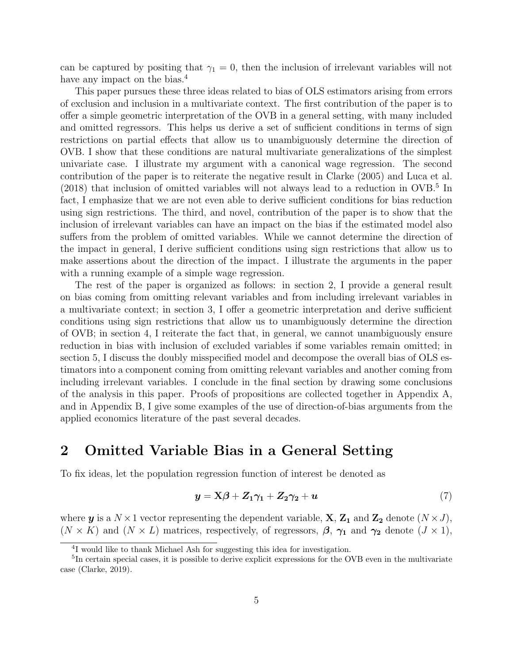can be captured by positing that  $\gamma_1 = 0$ , then the inclusion of irrelevant variables will not have any impact on the bias.<sup>4</sup>

This paper pursues these three ideas related to bias of OLS estimators arising from errors of exclusion and inclusion in a multivariate context. The first contribution of the paper is to offer a simple geometric interpretation of the OVB in a general setting, with many included and omitted regressors. This helps us derive a set of sufficient conditions in terms of sign restrictions on partial effects that allow us to unambiguously determine the direction of OVB. I show that these conditions are natural multivariate generalizations of the simplest univariate case. I illustrate my argument with a canonical wage regression. The second contribution of the paper is to reiterate the negative result in Clarke (2005) and Luca et al.  $(2018)$  that inclusion of omitted variables will not always lead to a reduction in OVB.<sup>5</sup> In fact, I emphasize that we are not even able to derive sufficient conditions for bias reduction using sign restrictions. The third, and novel, contribution of the paper is to show that the inclusion of irrelevant variables can have an impact on the bias if the estimated model also suffers from the problem of omitted variables. While we cannot determine the direction of the impact in general, I derive sufficient conditions using sign restrictions that allow us to make assertions about the direction of the impact. I illustrate the arguments in the paper with a running example of a simple wage regression.

The rest of the paper is organized as follows: in section 2, I provide a general result on bias coming from omitting relevant variables and from including irrelevant variables in a multivariate context; in section 3, I offer a geometric interpretation and derive sufficient conditions using sign restrictions that allow us to unambiguously determine the direction of OVB; in section 4, I reiterate the fact that, in general, we cannot unambiguously ensure reduction in bias with inclusion of excluded variables if some variables remain omitted; in section 5, I discuss the doubly misspecified model and decompose the overall bias of OLS estimators into a component coming from omitting relevant variables and another coming from including irrelevant variables. I conclude in the final section by drawing some conclusions of the analysis in this paper. Proofs of propositions are collected together in Appendix A, and in Appendix B, I give some examples of the use of direction-of-bias arguments from the applied economics literature of the past several decades.

# 2 Omitted Variable Bias in a General Setting

To fix ideas, let the population regression function of interest be denoted as

$$
y = X\beta + Z_1\gamma_1 + Z_2\gamma_2 + u \tag{7}
$$

where **y** is a  $N \times 1$  vector representing the dependent variable, **X**, **Z<sub>1</sub>** and **Z<sub>2</sub>** denote  $(N \times J)$ ,  $(N \times K)$  and  $(N \times L)$  matrices, respectively, of regressors,  $\beta$ ,  $\gamma_1$  and  $\gamma_2$  denote  $(J \times 1)$ ,

<sup>&</sup>lt;sup>4</sup>I would like to thank Michael Ash for suggesting this idea for investigation.

<sup>&</sup>lt;sup>5</sup>In certain special cases, it is possible to derive explicit expressions for the OVB even in the multivariate case (Clarke, 2019).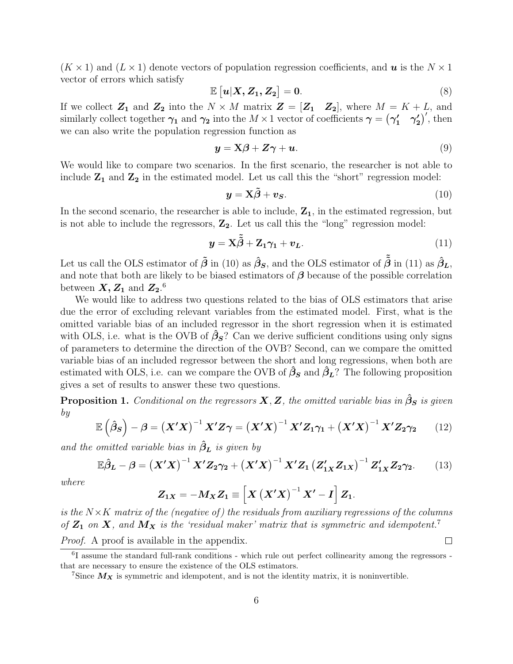$(K \times 1)$  and  $(L \times 1)$  denote vectors of population regression coefficients, and u is the  $N \times 1$ vector of errors which satisfy

$$
\mathbb{E}\left[u|X,Z_1,Z_2\right]=0.\tag{8}
$$

If we collect  $\mathbf{Z}_1$  and  $\mathbf{Z}_2$  into the  $N \times M$  matrix  $\mathbf{Z} = [\mathbf{Z}_1 \quad \mathbf{Z}_2]$ , where  $M = K + L$ , and similarly collect together  $\gamma_1$  and  $\gamma_2$  into the  $M \times 1$  vector of coefficients  $\gamma = (\gamma_1')$  $\frac{1}{1}$   $\gamma_2'$  $\binom{1}{2}$ , then we can also write the population regression function as

$$
\mathbf{y} = \mathbf{X}\boldsymbol{\beta} + \mathbf{Z}\boldsymbol{\gamma} + \mathbf{u}.\tag{9}
$$

We would like to compare two scenarios. In the first scenario, the researcher is not able to include  $\mathbb{Z}_1$  and  $\mathbb{Z}_2$  in the estimated model. Let us call this the "short" regression model:

$$
\mathbf{y} = \mathbf{X}\tilde{\boldsymbol{\beta}} + \mathbf{v}_{\mathbf{S}}.\tag{10}
$$

In the second scenario, the researcher is able to include,  $\mathbb{Z}_1$ , in the estimated regression, but is not able to include the regressors,  $\mathbb{Z}_2$ . Let us call this the "long" regression model:

$$
\mathbf{y} = \mathbf{X}\tilde{\tilde{\beta}} + \mathbf{Z}_1\boldsymbol{\gamma}_1 + \boldsymbol{v}_L.
$$
 (11)

 $\Box$ 

Let us call the OLS estimator of  $\tilde{\beta}$  in (10) as  $\hat{\beta}_S$ , and the OLS estimator of  $\tilde{\tilde{\beta}}$  in (11) as  $\hat{\beta}_L$ , and note that both are likely to be biased estimators of  $\beta$  because of the possible correlation between  $X, Z_1$  and  $Z_2$ .<sup>6</sup>

We would like to address two questions related to the bias of OLS estimators that arise due the error of excluding relevant variables from the estimated model. First, what is the omitted variable bias of an included regressor in the short regression when it is estimated with OLS, i.e. what is the OVB of  $\hat{\beta}_{\mathcal{S}}$ ? Can we derive sufficient conditions using only signs of parameters to determine the direction of the OVB? Second, can we compare the omitted variable bias of an included regressor between the short and long regressions, when both are estimated with OLS, i.e. can we compare the OVB of  $\beta_s$  and  $\beta_L$ ? The following proposition gives a set of results to answer these two questions.

**Proposition 1.** Conditional on the regressors  $X, Z$ , the omitted variable bias in  $\hat{\beta}_S$  is given by

$$
\mathbb{E}\left(\hat{\beta}_S\right) - \beta = \left(X'X\right)^{-1}X'Z\gamma = \left(X'X\right)^{-1}X'Z_1\gamma_1 + \left(X'X\right)^{-1}X'Z_2\gamma_2 \tag{12}
$$

and the omitted variable bias in  $\beta_L$  is given by

$$
\mathbb{E}\hat{\beta}_L - \beta = (X'X)^{-1}X'Z_2\gamma_2 + (X'X)^{-1}X'Z_1 (Z'_{1X}Z_{1X})^{-1}Z'_{1X}Z_2\gamma_2.
$$
 (13)

where

$$
Z_{1X}=-M_XZ_1\equiv \left[ X(X'X)^{-1} X'-I\right]Z_1.
$$

is the  $N \times K$  matrix of the (negative of) the residuals from auxiliary regressions of the columns of  $\mathbf{Z}_1$  on  $\mathbf{X}$ , and  $\mathbf{M}_{\mathbf{X}}$  is the 'residual maker' matrix that is symmetric and idempotent.<sup>7</sup>

Proof. A proof is available in the appendix.

<sup>&</sup>lt;sup>6</sup>I assume the standard full-rank conditions - which rule out perfect collinearity among the regressors that are necessary to ensure the existence of the OLS estimators.

<sup>&</sup>lt;sup>7</sup>Since  $M_X$  is symmetric and idempotent, and is not the identity matrix, it is noninvertible.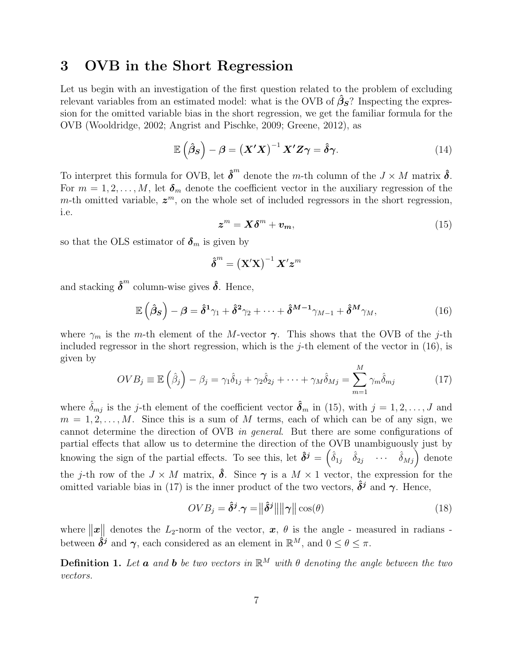# 3 OVB in the Short Regression

Let us begin with an investigation of the first question related to the problem of excluding relevant variables from an estimated model: what is the OVB of  $\beta_s$ ? Inspecting the expression for the omitted variable bias in the short regression, we get the familiar formula for the OVB (Wooldridge, 2002; Angrist and Pischke, 2009; Greene, 2012), as

$$
\mathbb{E}\left(\hat{\beta}_S\right) - \beta = \left(X'X\right)^{-1} X' Z \gamma = \hat{\delta} \gamma. \tag{14}
$$

To interpret this formula for OVB, let  $\hat{\boldsymbol{\delta}}^m$  denote the m-th column of the  $J \times M$  matrix  $\hat{\boldsymbol{\delta}}$ . For  $m = 1, 2, ..., M$ , let  $\delta_m$  denote the coefficient vector in the auxiliary regression of the m-th omitted variable,  $z^m$ , on the whole set of included regressors in the short regression, i.e.

$$
z^m = X\delta^m + v_m,\tag{15}
$$

so that the OLS estimator of  $\delta_m$  is given by

$$
\boldsymbol{\hat{\delta}}^m=\left(\mathbf{X}'\mathbf{X}\right)^{-1}\boldsymbol{X}'\boldsymbol{z}^m
$$

and stacking  $\hat{\boldsymbol{\delta}}^m$  column-wise gives  $\hat{\boldsymbol{\delta}}$ . Hence,

$$
\mathbb{E}\left(\hat{\beta}_S\right) - \beta = \hat{\delta}^1 \gamma_1 + \hat{\delta}^2 \gamma_2 + \dots + \hat{\delta}^{M-1} \gamma_{M-1} + \hat{\delta}^M \gamma_M, \tag{16}
$$

where  $\gamma_m$  is the m-th element of the M-vector  $\gamma$ . This shows that the OVB of the j-th included regressor in the short regression, which is the  $j$ -th element of the vector in (16), is given by  $\lambda$ 

$$
OVB_j \equiv \mathbb{E}\left(\hat{\beta}_j\right) - \beta_j = \gamma_1 \hat{\delta}_{1j} + \gamma_2 \hat{\delta}_{2j} + \dots + \gamma_M \hat{\delta}_{Mj} = \sum_{m=1}^{M} \gamma_m \hat{\delta}_{mj} \tag{17}
$$

where  $\hat{\delta}_{mj}$  is the j-th element of the coefficient vector  $\hat{\delta}_m$  in (15), with  $j = 1, 2, \ldots, J$  and  $m = 1, 2, \ldots, M$ . Since this is a sum of M terms, each of which can be of any sign, we cannot determine the direction of OVB in general. But there are some configurations of partial effects that allow us to determine the direction of the OVB unambiguously just by knowing the sign of the partial effects. To see this, let  $\hat{\delta}^j = \begin{pmatrix} \hat{\delta}_{1j} & \hat{\delta}_{2j} & \cdots & \hat{\delta}_{Mj} \end{pmatrix}$  denote the j-th row of the  $J \times M$  matrix,  $\hat{\delta}$ . Since  $\gamma$  is a  $M \times 1$  vector, the expression for the omitted variable bias in (17) is the inner product of the two vectors,  $\hat{\delta}^j$  and  $\gamma$ . Hence,

$$
OVB_j = \hat{\delta}^j \cdot \gamma = ||\hat{\delta}^j|| ||\gamma|| \cos(\theta)
$$
\n(18)

where  $\|\boldsymbol{x}\|$  denotes the L<sub>2</sub>-norm of the vector,  $\boldsymbol{x}, \theta$  is the angle - measured in radians between  $\hat{\delta}^j$  and  $\gamma$ , each considered as an element in  $\mathbb{R}^M$ , and  $0 \le \theta \le \pi$ .

**Definition 1.** Let **a** and **b** be two vectors in  $\mathbb{R}^M$  with  $\theta$  denoting the angle between the two vectors.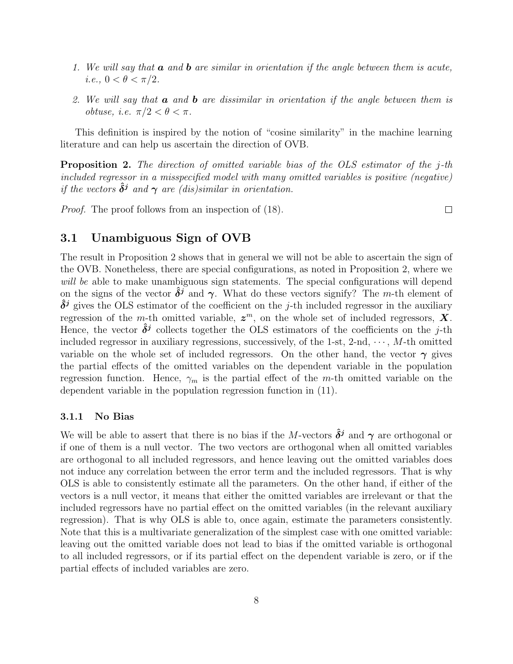- 1. We will say that  $\boldsymbol{a}$  and  $\boldsymbol{b}$  are similar in orientation if the angle between them is acute, i.e.,  $0 < \theta < \pi/2$ .
- 2. We will say that  $\alpha$  and  $\beta$  are dissimilar in orientation if the angle between them is obtuse, i.e.  $\pi/2 < \theta < \pi$ .

This definition is inspired by the notion of "cosine similarity" in the machine learning literature and can help us ascertain the direction of OVB.

**Proposition 2.** The direction of omitted variable bias of the OLS estimator of the  $i$ -th included regressor in a misspecified model with many omitted variables is positive (negative) if the vectors  $\hat{\delta}^j$  and  $\gamma$  are (dis)similar in orientation.

Proof. The proof follows from an inspection of (18).

 $\Box$ 

# 3.1 Unambiguous Sign of OVB

The result in Proposition 2 shows that in general we will not be able to ascertain the sign of the OVB. Nonetheless, there are special configurations, as noted in Proposition 2, where we will be able to make unambiguous sign statements. The special configurations will depend on the signs of the vector  $\hat{\delta}^j$  and  $\gamma$ . What do these vectors signify? The m-th element of  $\delta^j$  gives the OLS estimator of the coefficient on the j-th included regressor in the auxiliary regression of the m-th omitted variable,  $z^m$ , on the whole set of included regressors,  $X$ . Hence, the vector  $\hat{\delta}^j$  collects together the OLS estimators of the coefficients on the j-th included regressor in auxiliary regressions, successively, of the 1-st,  $2$ -nd,  $\cdots$ , M-th omitted variable on the whole set of included regressors. On the other hand, the vector  $\gamma$  gives the partial effects of the omitted variables on the dependent variable in the population regression function. Hence,  $\gamma_m$  is the partial effect of the m-th omitted variable on the dependent variable in the population regression function in (11).

#### 3.1.1 No Bias

We will be able to assert that there is no bias if the M-vectors  $\hat{\delta}^j$  and  $\gamma$  are orthogonal or if one of them is a null vector. The two vectors are orthogonal when all omitted variables are orthogonal to all included regressors, and hence leaving out the omitted variables does not induce any correlation between the error term and the included regressors. That is why OLS is able to consistently estimate all the parameters. On the other hand, if either of the vectors is a null vector, it means that either the omitted variables are irrelevant or that the included regressors have no partial effect on the omitted variables (in the relevant auxiliary regression). That is why OLS is able to, once again, estimate the parameters consistently. Note that this is a multivariate generalization of the simplest case with one omitted variable: leaving out the omitted variable does not lead to bias if the omitted variable is orthogonal to all included regressors, or if its partial effect on the dependent variable is zero, or if the partial effects of included variables are zero.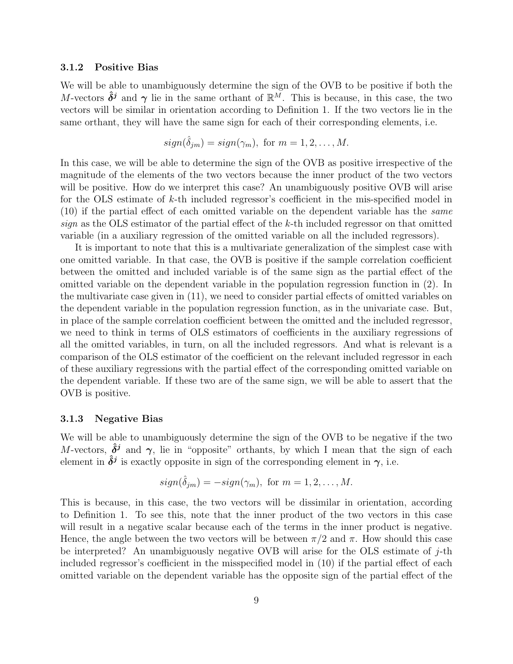#### 3.1.2 Positive Bias

We will be able to unambiguously determine the sign of the OVB to be positive if both the M-vectors  $\hat{\delta}^j$  and  $\gamma$  lie in the same orthant of  $\mathbb{R}^M$ . This is because, in this case, the two vectors will be similar in orientation according to Definition 1. If the two vectors lie in the same orthant, they will have the same sign for each of their corresponding elements, i.e.

$$
sign(\hat{\delta}_{jm}) = sign(\gamma_m), \text{ for } m = 1, 2, ..., M.
$$

In this case, we will be able to determine the sign of the OVB as positive irrespective of the magnitude of the elements of the two vectors because the inner product of the two vectors will be positive. How do we interpret this case? An unambiguously positive OVB will arise for the OLS estimate of k-th included regressor's coefficient in the mis-specified model in (10) if the partial effect of each omitted variable on the dependent variable has the same sign as the OLS estimator of the partial effect of the k-th included regressor on that omitted variable (in a auxiliary regression of the omitted variable on all the included regressors).

It is important to note that this is a multivariate generalization of the simplest case with one omitted variable. In that case, the OVB is positive if the sample correlation coefficient between the omitted and included variable is of the same sign as the partial effect of the omitted variable on the dependent variable in the population regression function in (2). In the multivariate case given in (11), we need to consider partial effects of omitted variables on the dependent variable in the population regression function, as in the univariate case. But, in place of the sample correlation coefficient between the omitted and the included regressor, we need to think in terms of OLS estimators of coefficients in the auxiliary regressions of all the omitted variables, in turn, on all the included regressors. And what is relevant is a comparison of the OLS estimator of the coefficient on the relevant included regressor in each of these auxiliary regressions with the partial effect of the corresponding omitted variable on the dependent variable. If these two are of the same sign, we will be able to assert that the OVB is positive.

#### 3.1.3 Negative Bias

We will be able to unambiguously determine the sign of the OVB to be negative if the two M-vectors,  $\hat{\delta}^j$  and  $\gamma$ , lie in "opposite" orthants, by which I mean that the sign of each element in  $\hat{\delta}^j$  is exactly opposite in sign of the corresponding element in  $\gamma$ , i.e.

$$
sign(\hat{\delta}_{jm}) = -sign(\gamma_m), \text{ for } m = 1, 2, \dots, M.
$$

This is because, in this case, the two vectors will be dissimilar in orientation, according to Definition 1. To see this, note that the inner product of the two vectors in this case will result in a negative scalar because each of the terms in the inner product is negative. Hence, the angle between the two vectors will be between  $\pi/2$  and  $\pi$ . How should this case be interpreted? An unambiguously negative OVB will arise for the OLS estimate of  $j$ -th included regressor's coefficient in the misspecified model in (10) if the partial effect of each omitted variable on the dependent variable has the opposite sign of the partial effect of the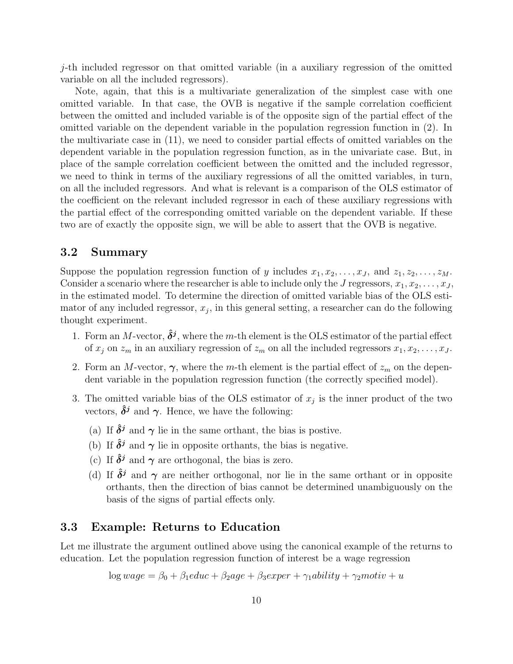j-th included regressor on that omitted variable (in a auxiliary regression of the omitted variable on all the included regressors).

Note, again, that this is a multivariate generalization of the simplest case with one omitted variable. In that case, the OVB is negative if the sample correlation coefficient between the omitted and included variable is of the opposite sign of the partial effect of the omitted variable on the dependent variable in the population regression function in (2). In the multivariate case in (11), we need to consider partial effects of omitted variables on the dependent variable in the population regression function, as in the univariate case. But, in place of the sample correlation coefficient between the omitted and the included regressor, we need to think in terms of the auxiliary regressions of all the omitted variables, in turn, on all the included regressors. And what is relevant is a comparison of the OLS estimator of the coefficient on the relevant included regressor in each of these auxiliary regressions with the partial effect of the corresponding omitted variable on the dependent variable. If these two are of exactly the opposite sign, we will be able to assert that the OVB is negative.

## 3.2 Summary

Suppose the population regression function of y includes  $x_1, x_2, \ldots, x_J$ , and  $z_1, z_2, \ldots, z_M$ . Consider a scenario where the researcher is able to include only the J regressors,  $x_1, x_2, \ldots, x_J$ in the estimated model. To determine the direction of omitted variable bias of the OLS estimator of any included regressor,  $x_j$ , in this general setting, a researcher can do the following thought experiment.

- 1. Form an M-vector,  $\hat{\delta}^j$ , where the m-th element is the OLS estimator of the partial effect of  $x_j$  on  $z_m$  in an auxiliary regression of  $z_m$  on all the included regressors  $x_1, x_2, \ldots, x_J$ .
- 2. Form an M-vector,  $\gamma$ , where the m-th element is the partial effect of  $z_m$  on the dependent variable in the population regression function (the correctly specified model).
- 3. The omitted variable bias of the OLS estimator of  $x_j$  is the inner product of the two vectors,  $\hat{\delta}^j$  and  $\gamma$ . Hence, we have the following:
	- (a) If  $\hat{\delta}^j$  and  $\gamma$  lie in the same orthant, the bias is postive.
	- (b) If  $\hat{\delta}^j$  and  $\gamma$  lie in opposite orthants, the bias is negative.
	- (c) If  $\hat{\delta}^j$  and  $\gamma$  are orthogonal, the bias is zero.
	- (d) If  $\hat{\delta}^j$  and  $\gamma$  are neither orthogonal, nor lie in the same orthant or in opposite orthants, then the direction of bias cannot be determined unambiguously on the basis of the signs of partial effects only.

# 3.3 Example: Returns to Education

Let me illustrate the argument outlined above using the canonical example of the returns to education. Let the population regression function of interest be a wage regression

log wage =  $\beta_0 + \beta_1$ educ +  $\beta_2$ age +  $\beta_3$ exper +  $\gamma_1$ ability +  $\gamma_2$ motiv + u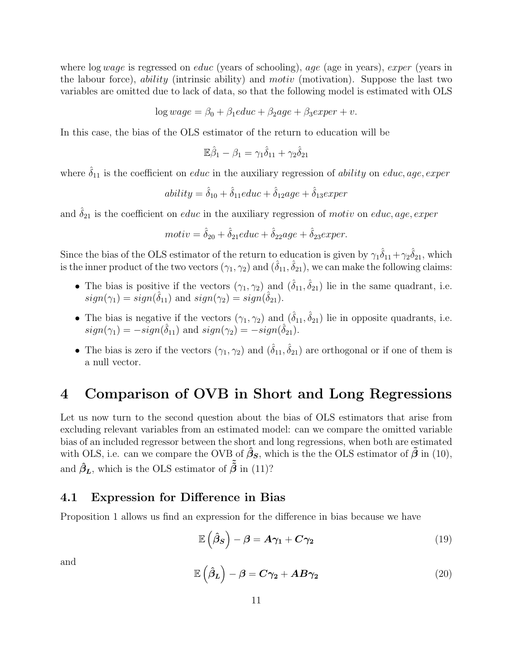where log wage is regressed on *educ* (years of schooling), age (age in years), exper (years in the labour force), ability (intrinsic ability) and motiv (motivation). Suppose the last two variables are omitted due to lack of data, so that the following model is estimated with OLS

$$
\log wage = \beta_0 + \beta_1 educ + \beta_2age + \beta_3 expert + v.
$$

In this case, the bias of the OLS estimator of the return to education will be

$$
\mathbb{E}\hat{\beta}_1 - \beta_1 = \gamma_1 \hat{\delta}_{11} + \gamma_2 \hat{\delta}_{21}
$$

where  $\hat{\delta}_{11}$  is the coefficient on *educ* in the auxiliary regression of *ability* on *educ*, age, exper

$$
ability = \hat{\delta}_{10} + \hat{\delta}_{11} educ + \hat{\delta}_{12} age + \hat{\delta}_{13} exper
$$

and  $\hat{\delta}_{21}$  is the coefficient on *educ* in the auxiliary regression of *motiv* on *educ*, age, *exper* 

$$
motiv = \hat{\delta}_{20} + \hat{\delta}_{21} educ + \hat{\delta}_{22} age + \hat{\delta}_{23} exper.
$$

Since the bias of the OLS estimator of the return to education is given by  $\gamma_1 \hat{\delta}_{11} + \gamma_2 \hat{\delta}_{21}$ , which is the inner product of the two vectors  $(\gamma_1, \gamma_2)$  and  $(\hat{\delta}_{11}, \hat{\delta}_{21})$ , we can make the following claims:

- The bias is positive if the vectors  $(\gamma_1, \gamma_2)$  and  $(\hat{\delta}_{11}, \hat{\delta}_{21})$  lie in the same quadrant, i.e.  $sign(\gamma_1) = sign(\hat{\delta}_{11})$  and  $sign(\gamma_2) = sign(\hat{\delta}_{21}).$
- The bias is negative if the vectors  $(\gamma_1, \gamma_2)$  and  $(\hat{\delta}_{11}, \hat{\delta}_{21})$  lie in opposite quadrants, i.e.  $sign(\gamma_1) = -sign(\hat{\delta}_{11})$  and  $sign(\gamma_2) = -sign(\hat{\delta}_{21}).$
- The bias is zero if the vectors  $(\gamma_1, \gamma_2)$  and  $(\hat{\delta}_{11}, \hat{\delta}_{21})$  are orthogonal or if one of them is a null vector.

# 4 Comparison of OVB in Short and Long Regressions

Let us now turn to the second question about the bias of OLS estimators that arise from excluding relevant variables from an estimated model: can we compare the omitted variable bias of an included regressor between the short and long regressions, when both are estimated with OLS, i.e. can we compare the OVB of  $\hat{\beta}_s$ , which is the the OLS estimator of  $\tilde{\beta}$  in (10), and  $\hat{\beta}_L$ , which is the OLS estimator of  $\tilde{\tilde{\beta}}$  in (11)?

# 4.1 Expression for Difference in Bias

Proposition 1 allows us find an expression for the difference in bias because we have

$$
\mathbb{E}\left(\hat{\beta}_S\right) - \beta = A\gamma_1 + C\gamma_2\tag{19}
$$

and

$$
\mathbb{E}\left(\hat{\beta}_L\right) - \beta = C\gamma_2 + AB\gamma_2\tag{20}
$$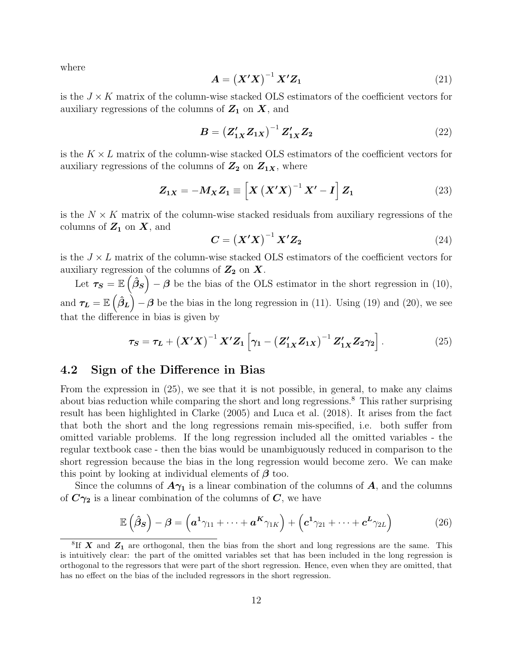where

$$
\boldsymbol{A} = \left(\boldsymbol{X}'\boldsymbol{X}\right)^{-1}\boldsymbol{X}'\boldsymbol{Z}_1\tag{21}
$$

is the  $J \times K$  matrix of the column-wise stacked OLS estimators of the coefficient vectors for auxiliary regressions of the columns of  $Z_1$  on  $X$ , and

$$
B = \left(Z'_{1X} Z_{1X}\right)^{-1} Z'_{1X} Z_2 \tag{22}
$$

is the  $K \times L$  matrix of the column-wise stacked OLS estimators of the coefficient vectors for auxiliary regressions of the columns of  $Z_2$  on  $Z_{1X}$ , where

$$
Z_{1X} = -M_X Z_1 \equiv \left[ X \left( X'X \right)^{-1} X' - I \right] Z_1 \tag{23}
$$

is the  $N \times K$  matrix of the column-wise stacked residuals from auxiliary regressions of the columns of  $\mathbf{Z}_1$  on  $\mathbf{X}$ , and

$$
\mathbf{C} = \left(\mathbf{X'X}\right)^{-1}\mathbf{X'Z_2} \tag{24}
$$

is the  $J \times L$  matrix of the column-wise stacked OLS estimators of the coefficient vectors for auxiliary regression of the columns of  $\mathbb{Z}_2$  on  $\mathbf{X}$ .

Let  $\tau_S = \mathbb{E}(\hat{\beta}_S) - \beta$  be the bias of the OLS estimator in the short regression in (10), and  $\tau_L = \mathbb{E}(\hat{\beta}_L) - \beta$  be the bias in the long regression in (11). Using (19) and (20), we see that the difference in bias is given by

$$
\tau_S = \tau_L + \left(X'X\right)^{-1} X' Z_1 \left[\gamma_1 - \left(Z'_{1X} Z_{1X}\right)^{-1} Z'_{1X} Z_2 \gamma_2\right]. \tag{25}
$$

### 4.2 Sign of the Difference in Bias

From the expression in (25), we see that it is not possible, in general, to make any claims about bias reduction while comparing the short and long regressions.<sup>8</sup> This rather surprising result has been highlighted in Clarke (2005) and Luca et al. (2018). It arises from the fact that both the short and the long regressions remain mis-specified, i.e. both suffer from omitted variable problems. If the long regression included all the omitted variables - the regular textbook case - then the bias would be unambiguously reduced in comparison to the short regression because the bias in the long regression would become zero. We can make this point by looking at individual elements of  $\beta$  too.

Since the columns of  $A\gamma_1$  is a linear combination of the columns of  $A$ , and the columns of  $C_{\gamma_2}$  is a linear combination of the columns of C, we have

$$
\mathbb{E}\left(\hat{\beta}_S\right) - \beta = \left(a^1\gamma_{11} + \dots + a^K\gamma_{1K}\right) + \left(c^1\gamma_{21} + \dots + c^L\gamma_{2L}\right) \tag{26}
$$

 ${}^{8}$ If X and  $Z_1$  are orthogonal, then the bias from the short and long regressions are the same. This is intuitively clear: the part of the omitted variables set that has been included in the long regression is orthogonal to the regressors that were part of the short regression. Hence, even when they are omitted, that has no effect on the bias of the included regressors in the short regression.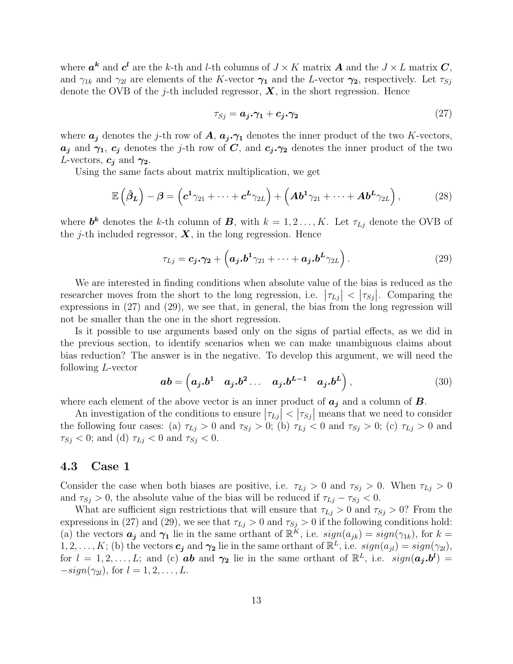where  $a^k$  and  $c^l$  are the k-th and l-th columns of  $J \times K$  matrix  $A$  and the  $J \times L$  matrix  $C$ , and  $\gamma_{1k}$  and  $\gamma_{2l}$  are elements of the K-vector  $\gamma_1$  and the L-vector  $\gamma_2$ , respectively. Let  $\tau_{Sj}$ denote the OVB of the j-th included regressor,  $\boldsymbol{X}$ , in the short regression. Hence

$$
\tau_{Sj} = a_j \cdot \gamma_1 + c_j \cdot \gamma_2 \tag{27}
$$

where  $a_j$  denotes the j-th row of  $A$ ,  $a_j.\gamma_1$  denotes the inner product of the two K-vectors,  $a_j$  and  $\gamma_1$ ,  $c_j$  denotes the j-th row of C, and  $c_j \gamma_2$  denotes the inner product of the two L-vectors,  $c_i$  and  $\gamma_2$ .

Using the same facts about matrix multiplication, we get

$$
\mathbb{E}\left(\hat{\beta}_L\right) - \beta = \left(c^1\gamma_{21} + \cdots + c^L\gamma_{2L}\right) + \left(Ab^1\gamma_{21} + \cdots + Ab^L\gamma_{2L}\right),\tag{28}
$$

where  $b^k$  denotes the k-th column of B, with  $k = 1, 2, ..., K$ . Let  $\tau_{Lj}$  denote the OVB of the *j*-th included regressor,  $\boldsymbol{X}$ , in the long regression. Hence

$$
\tau_{Lj} = \boldsymbol{c_j} \cdot \boldsymbol{\gamma_2} + \left(\boldsymbol{a_j} \cdot \boldsymbol{b^1} \gamma_{21} + \cdots + \boldsymbol{a_j} \cdot \boldsymbol{b^L} \gamma_{2L}\right). \tag{29}
$$

We are interested in finding conditions when absolute value of the bias is reduced as the researcher moves from the short to the long regression, i.e.  $|\tau_{Lj}| < |\tau_{Sj}|$ . Comparing the expressions in (27) and (29), we see that, in general, the bias from the long regression will not be smaller than the one in the short regression.

Is it possible to use arguments based only on the signs of partial effects, as we did in the previous section, to identify scenarios when we can make unambiguous claims about bias reduction? The answer is in the negative. To develop this argument, we will need the following L-vector

$$
ab = \left(a_j \cdot b^1 \quad a_j \cdot b^2 \ldots \quad a_j \cdot b^{L-1} \quad a_j \cdot b^L\right), \tag{30}
$$

where each element of the above vector is an inner product of  $a_j$  and a column of  $B$ .

An investigation of the conditions to ensure  $|\tau_{Lj}| < |\tau_{Sj}|$  means that we need to consider the following four cases: (a)  $\tau_{Lj} > 0$  and  $\tau_{Sj} > 0$ ; (b)  $\tau_{Lj} < 0$  and  $\tau_{Sj} > 0$ ; (c)  $\tau_{Lj} > 0$  and  $\tau_{Sj}$  < 0; and (d)  $\tau_{Lj}$  < 0 and  $\tau_{Sj}$  < 0.

### 4.3 Case 1

Consider the case when both biases are positive, i.e.  $\tau_{Lj} > 0$  and  $\tau_{Sj} > 0$ . When  $\tau_{Lj} > 0$ and  $\tau_{Sj} > 0$ , the absolute value of the bias will be reduced if  $\tau_{Lj} - \tau_{Sj} < 0$ .

What are sufficient sign restrictions that will ensure that  $\tau_{Lj} > 0$  and  $\tau_{Sj} > 0$ ? From the expressions in (27) and (29), we see that  $\tau_{Lj} > 0$  and  $\tau_{Sj} > 0$  if the following conditions hold: (a) the vectors  $a_j$  and  $\gamma_1$  lie in the same orthant of  $\mathbb{R}^K$ , i.e.  $sign(a_{jk}) = sign(\gamma_{1k})$ , for  $k =$  $1, 2, \ldots, K$ ; (b) the vectors  $c_j$  and  $\gamma_2$  lie in the same orthant of  $\mathbb{R}^L$ , i.e.  $sign(a_{jl}) = sign(\gamma_{2l})$ , for  $l = 1, 2, \ldots, L$ ; and (c) **ab** and  $\gamma_2$  lie in the same orthant of  $\mathbb{R}^L$ , i.e.  $sign(a_j, b^l)$  =  $-sign(\gamma_{2l}),$  for  $l=1,2,\ldots,L$ .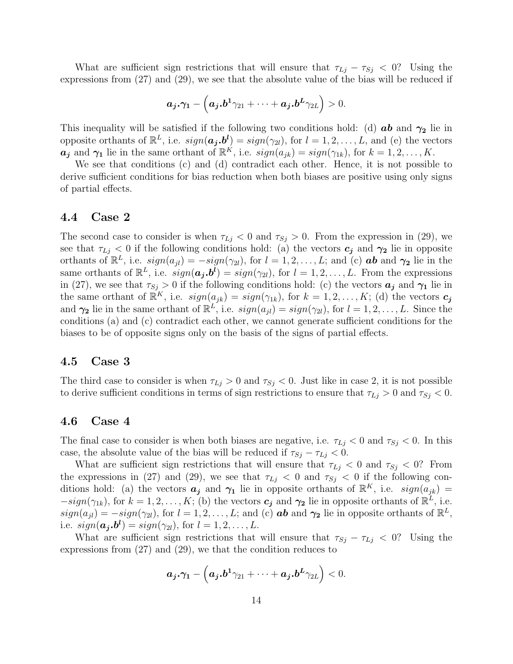What are sufficient sign restrictions that will ensure that  $\tau_{Lj} - \tau_{Sj} < 0$ ? Using the expressions from (27) and (29), we see that the absolute value of the bias will be reduced if

$$
\boldsymbol{a_j}.\boldsymbol{\gamma_1} - \left(\boldsymbol{a_j}.\boldsymbol{b^1}\gamma_{21} + \cdots + \boldsymbol{a_j}.\boldsymbol{b^L}\gamma_{2L}\right) > 0.
$$

This inequality will be satisfied if the following two conditions hold: (d)  $ab$  and  $\gamma_2$  lie in opposite orthants of  $\mathbb{R}^L$ , i.e.  $sign(a_j.b^l) = sign(\gamma_{2l})$ , for  $l = 1, 2, ..., L$ , and (e) the vectors  $a_j$  and  $\gamma_1$  lie in the same orthant of  $\mathbb{R}^K$ , i.e.  $sign(a_{jk}) = sign(\gamma_{1k})$ , for  $k = 1, 2, ..., K$ .

We see that conditions (c) and (d) contradict each other. Hence, it is not possible to derive sufficient conditions for bias reduction when both biases are positive using only signs of partial effects.

#### 4.4 Case 2

The second case to consider is when  $\tau_{Lj} < 0$  and  $\tau_{Sj} > 0$ . From the expression in (29), we see that  $\tau_{Lj} < 0$  if the following conditions hold: (a) the vectors  $c_j$  and  $\gamma_2$  lie in opposite orthants of  $\mathbb{R}^L$ , i.e.  $sign(a_{jl}) = -sign(\gamma_{2l})$ , for  $l = 1, 2, ..., L$ ; and (c) **ab** and  $\gamma_2$  lie in the same orthants of  $\mathbb{R}^L$ , i.e.  $sign(\mathbf{a_j.b^l}) = sign(\gamma_{2l})$ , for  $l = 1, 2, ..., L$ . From the expressions in (27), we see that  $\tau_{S_j} > 0$  if the following conditions hold: (c) the vectors  $a_j$  and  $\gamma_1$  lie in the same orthant of  $\mathbb{R}^K$ , i.e.  $sign(a_{jk}) = sign(\gamma_{1k})$ , for  $k = 1, 2, ..., K$ ; (d) the vectors  $c_j$ and  $\gamma_2$  lie in the same orthant of  $\mathbb{R}^L$ , i.e.  $sign(a_{jl}) = sign(\gamma_{2l})$ , for  $l = 1, 2, ..., L$ . Since the conditions (a) and (c) contradict each other, we cannot generate sufficient conditions for the biases to be of opposite signs only on the basis of the signs of partial effects.

### 4.5 Case 3

The third case to consider is when  $\tau_{Lj} > 0$  and  $\tau_{Sj} < 0$ . Just like in case 2, it is not possible to derive sufficient conditions in terms of sign restrictions to ensure that  $\tau_{Lj} > 0$  and  $\tau_{Sj} < 0$ .

### 4.6 Case 4

The final case to consider is when both biases are negative, i.e.  $\tau_{Lj} < 0$  and  $\tau_{Sj} < 0$ . In this case, the absolute value of the bias will be reduced if  $\tau_{Sj} - \tau_{Lj} < 0$ .

What are sufficient sign restrictions that will ensure that  $\tau_{Lj} < 0$  and  $\tau_{Sj} < 0$ ? From the expressions in (27) and (29), we see that  $\tau_{Lj} < 0$  and  $\tau_{Sj} < 0$  if the following conditions hold: (a) the vectors  $a_j$  and  $\gamma_1$  lie in opposite orthants of  $\mathbb{R}^K$ , i.e.  $sign(a_{jk}) =$  $-sign(\gamma_{1k})$ , for  $k = 1, 2, ..., K$ ; (b) the vectors  $c_j$  and  $\gamma_2$  lie in opposite orthants of  $\mathbb{R}^L$ , i.e.  $sign(a_{jl}) = -sign(\gamma_{2l})$ , for  $l = 1, 2, ..., L$ ; and (c) **ab** and  $\gamma_2$  lie in opposite orthants of  $\mathbb{R}^L$ , i.e.  $sign(\boldsymbol{a_j.b^l}) = sign(\gamma_{2l}),$  for  $l = 1, 2, ..., L$ .

What are sufficient sign restrictions that will ensure that  $\tau_{Sj} - \tau_{Lj} < 0$ ? Using the expressions from (27) and (29), we that the condition reduces to

$$
\boldsymbol{a_j}.\boldsymbol{\gamma_1} - \left(\boldsymbol{a_j}.\boldsymbol{b^1}\gamma_{21} + \cdots + \boldsymbol{a_j}.\boldsymbol{b^L}\gamma_{2L}\right) < 0.
$$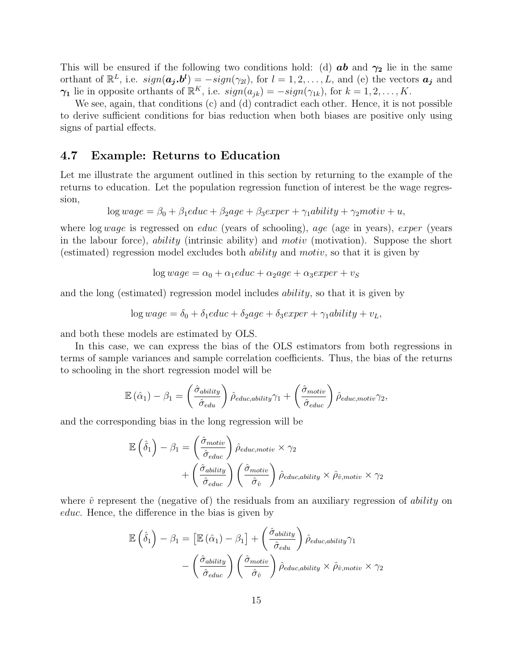This will be ensured if the following two conditions hold: (d) **ab** and  $\gamma_2$  lie in the same orthant of  $\mathbb{R}^L$ , i.e.  $sign(\boldsymbol{a_j}.b^l) = -sign(\gamma_{2l})$ , for  $l = 1, 2, ..., L$ , and (e) the vectors  $\boldsymbol{a_j}$  and  $\gamma_1$  lie in opposite orthants of  $\mathbb{R}^K$ , i.e.  $sign(a_{jk}) = -sign(\gamma_{1k})$ , for  $k = 1, 2, ..., K$ .

We see, again, that conditions (c) and (d) contradict each other. Hence, it is not possible to derive sufficient conditions for bias reduction when both biases are positive only using signs of partial effects.

# 4.7 Example: Returns to Education

Let me illustrate the argument outlined in this section by returning to the example of the returns to education. Let the population regression function of interest be the wage regression,

$$
\log wage = \beta_0 + \beta_1 educ + \beta_2age + \beta_3 expert + \gamma_1ability + \gamma_2 motiv + u,
$$

where log wage is regressed on *educ* (years of schooling), age (age in years), exper (years in the labour force), ability (intrinsic ability) and motiv (motivation). Suppose the short (estimated) regression model excludes both ability and motiv, so that it is given by

$$
\log wage = \alpha_0 + \alpha_1 educ + \alpha_2age + \alpha_3exper + v_S
$$

and the long (estimated) regression model includes ability, so that it is given by

$$
\log wage = \delta_0 + \delta_1 educ + \delta_2age + \delta_3 expert + \gamma_1 ability + v_L,
$$

and both these models are estimated by OLS.

In this case, we can express the bias of the OLS estimators from both regressions in terms of sample variances and sample correlation coefficients. Thus, the bias of the returns to schooling in the short regression model will be

$$
\mathbb{E}\left(\hat{\alpha}_{1}\right) - \beta_{1} = \left(\frac{\hat{\sigma}_{ability}}{\hat{\sigma}_{edu}}\right) \hat{\rho}_{educ,ability} \gamma_{1} + \left(\frac{\hat{\sigma}_{motiv}}{\hat{\sigma}_{educ}}\right) \hat{\rho}_{educ,motiv} \gamma_{2},
$$

and the corresponding bias in the long regression will be

$$
\mathbb{E}\left(\hat{\delta}_{1}\right) - \beta_{1} = \left(\frac{\hat{\sigma}_{motiv}}{\hat{\sigma}_{educ}}\right) \hat{\rho}_{educ,motiv} \times \gamma_{2} + \left(\frac{\hat{\sigma}_{ability}}{\hat{\sigma}_{educ}}\right) \left(\frac{\hat{\sigma}_{motiv}}{\hat{\sigma}_{\hat{v}}}\right) \hat{\rho}_{educ,ability} \times \hat{\rho}_{\hat{v},motiv} \times \gamma_{2}
$$

where  $\hat{v}$  represent the (negative of) the residuals from an auxiliary regression of ability on educ. Hence, the difference in the bias is given by

$$
\mathbb{E}\left(\hat{\delta}_{1}\right) - \beta_{1} = \left[\mathbb{E}\left(\hat{\alpha}_{1}\right) - \beta_{1}\right] + \left(\frac{\hat{\sigma}_{ability}}{\hat{\sigma}_{edu}}\right) \hat{\rho}_{educ,ability}\gamma_{1}
$$

$$
-\left(\frac{\hat{\sigma}_{ability}}{\hat{\sigma}_{educ}}\right)\left(\frac{\hat{\sigma}_{motiv}}{\hat{\sigma}_{\hat{v}}}\right) \hat{\rho}_{educ,ability} \times \hat{\rho}_{\hat{v},motiv} \times \gamma_{2}
$$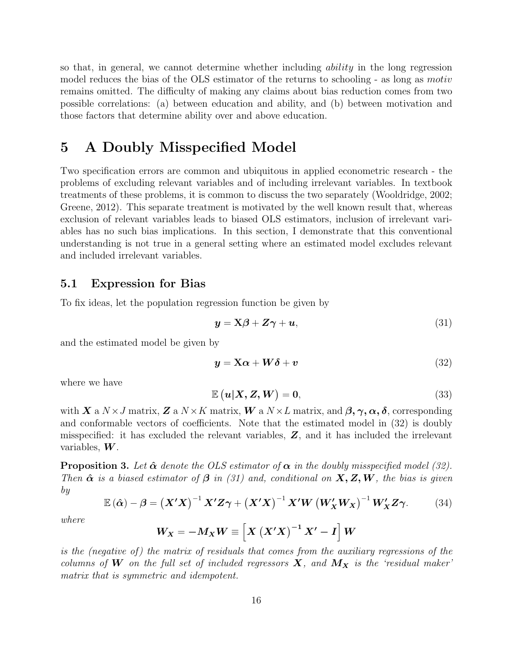so that, in general, we cannot determine whether including *ability* in the long regression model reduces the bias of the OLS estimator of the returns to schooling - as long as motiv remains omitted. The difficulty of making any claims about bias reduction comes from two possible correlations: (a) between education and ability, and (b) between motivation and those factors that determine ability over and above education.

# 5 A Doubly Misspecified Model

Two specification errors are common and ubiquitous in applied econometric research - the problems of excluding relevant variables and of including irrelevant variables. In textbook treatments of these problems, it is common to discuss the two separately (Wooldridge, 2002; Greene, 2012). This separate treatment is motivated by the well known result that, whereas exclusion of relevant variables leads to biased OLS estimators, inclusion of irrelevant variables has no such bias implications. In this section, I demonstrate that this conventional understanding is not true in a general setting where an estimated model excludes relevant and included irrelevant variables.

### 5.1 Expression for Bias

To fix ideas, let the population regression function be given by

$$
\mathbf{y} = \mathbf{X}\boldsymbol{\beta} + \mathbf{Z}\boldsymbol{\gamma} + \mathbf{u},\tag{31}
$$

and the estimated model be given by

$$
y = X\alpha + W\delta + v \tag{32}
$$

where we have

$$
\mathbb{E}\left(\mathbf{u}|\mathbf{X},\mathbf{Z},\mathbf{W}\right)=\mathbf{0},\tag{33}
$$

with X a  $N \times J$  matrix, Z a  $N \times K$  matrix, W a  $N \times L$  matrix, and  $\beta, \gamma, \alpha, \delta$ , corresponding and conformable vectors of coefficients. Note that the estimated model in (32) is doubly misspecified: it has excluded the relevant variables, Z, and it has included the irrelevant variables, W.

**Proposition 3.** Let  $\hat{\alpha}$  denote the OLS estimator of  $\alpha$  in the doubly misspecified model (32). Then  $\hat{\alpha}$  is a biased estimator of  $\beta$  in (31) and, conditional on  $X, Z, W$ , the bias is given by

$$
\mathbb{E}(\hat{\alpha}) - \beta = \left(X'X\right)^{-1} X'Z\gamma + \left(X'X\right)^{-1} X'W \left(W'_XW_X\right)^{-1} W'_XZ\gamma.
$$
 (34)

where

$$
W_X = -M_X W \equiv \left[ X \left( X'X \right)^{-1} X' - I \right] W
$$

is the (negative of) the matrix of residuals that comes from the auxiliary regressions of the columns of W on the full set of included regressors  $X$ , and  $M_X$  is the 'residual maker' matrix that is symmetric and idempotent.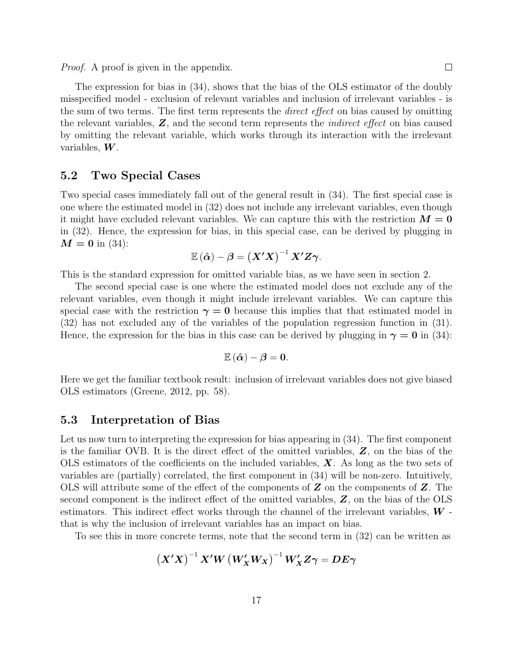*Proof.* A proof is given in the appendix.

 $\Box$ 

The expression for bias in (34), shows that the bias of the OLS estimator of the doubly misspecified model - exclusion of relevant variables and inclusion of irrelevant variables - is the sum of two terms. The first term represents the *direct effect* on bias caused by omitting the relevant variables, Z, and the second term represents the indirect effect on bias caused by omitting the relevant variable, which works through its interaction with the irrelevant variables, W.

### 5.2 Two Special Cases

Two special cases immediately fall out of the general result in (34). The first special case is one where the estimated model in (32) does not include any irrelevant variables, even though it might have excluded relevant variables. We can capture this with the restriction  $M = 0$ in (32). Hence, the expression for bias, in this special case, can be derived by plugging in  $M = 0$  in (34):

$$
\mathbb{E}(\hat{\alpha}) - \beta = (X'X)^{-1} X'Z\gamma.
$$

This is the standard expression for omitted variable bias, as we have seen in section 2.

The second special case is one where the estimated model does not exclude any of the relevant variables, even though it might include irrelevant variables. We can capture this special case with the restriction  $\gamma = 0$  because this implies that that estimated model in (32) has not excluded any of the variables of the population regression function in (31). Hence, the expression for the bias in this case can be derived by plugging in  $\gamma = 0$  in (34):

$$
\mathbb{E}(\hat{\alpha})-\beta=0.
$$

Here we get the familiar textbook result: inclusion of irrelevant variables does not give biased OLS estimators (Greene, 2012, pp. 58).

### 5.3 Interpretation of Bias

Let us now turn to interpreting the expression for bias appearing in  $(34)$ . The first component is the familiar OVB. It is the direct effect of the omitted variables, Z, on the bias of the OLS estimators of the coefficients on the included variables, X. As long as the two sets of variables are (partially) correlated, the first component in (34) will be non-zero. Intuitively, OLS will attribute some of the effect of the components of  $Z$  on the components of  $Z$ . The second component is the indirect effect of the omitted variables, Z, on the bias of the OLS estimators. This indirect effect works through the channel of the irrelevant variables,  $W$ . that is why the inclusion of irrelevant variables has an impact on bias.

To see this in more concrete terms, note that the second term in (32) can be written as

$$
\left(\boldsymbol{X}'\boldsymbol{X}\right)^{-1}\boldsymbol{X}'\boldsymbol{W}\left(\boldsymbol{W}'_{\boldsymbol{X}}\boldsymbol{W}_{\boldsymbol{X}}\right)^{-1}\boldsymbol{W}'_{\boldsymbol{X}}\boldsymbol{Z}\boldsymbol{\gamma}=\boldsymbol{D}\boldsymbol{E}\boldsymbol{\gamma}
$$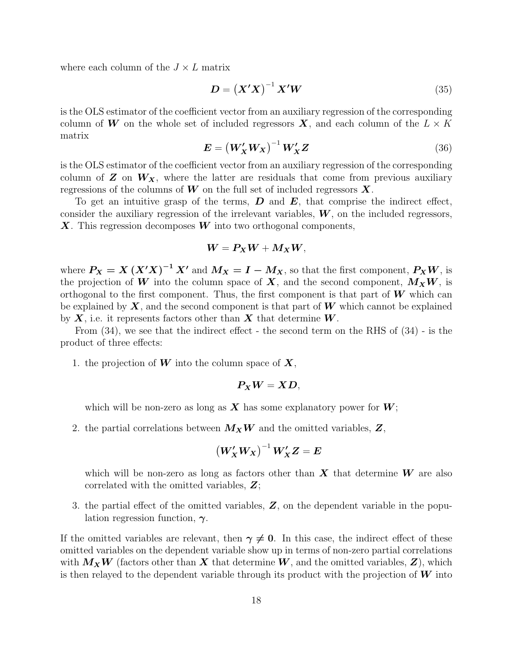where each column of the  $J \times L$  matrix

$$
D = \left(X'X\right)^{-1}X'W\tag{35}
$$

is the OLS estimator of the coefficient vector from an auxiliary regression of the corresponding column of W on the whole set of included regressors  $X$ , and each column of the  $L \times K$ matrix

$$
E = \left(W_X' W_X\right)^{-1} W_X' Z \tag{36}
$$

is the OLS estimator of the coefficient vector from an auxiliary regression of the corresponding column of  $Z$  on  $W_X$ , where the latter are residuals that come from previous auxiliary regressions of the columns of  $W$  on the full set of included regressors  $X$ .

To get an intuitive grasp of the terms,  $D$  and  $E$ , that comprise the indirect effect, consider the auxiliary regression of the irrelevant variables,  $W$ , on the included regressors,  $\boldsymbol{X}$ . This regression decomposes  $\boldsymbol{W}$  into two orthogonal components,

$$
W = P_X W + M_X W,
$$

where  $P_X = X (X'X)^{-1} X'$  and  $M_X = I - M_X$ , so that the first component,  $P_X W$ , is the projection of W into the column space of X, and the second component,  $M_XW$ , is orthogonal to the first component. Thus, the first component is that part of  $W$  which can be explained by  $X$ , and the second component is that part of  $W$  which cannot be explained by  $X$ , i.e. it represents factors other than  $X$  that determine  $W$ .

From (34), we see that the indirect effect - the second term on the RHS of (34) - is the product of three effects:

1. the projection of  $W$  into the column space of  $X$ ,

$$
\boldsymbol{P_X W} = \boldsymbol{X D},
$$

which will be non-zero as long as  $X$  has some explanatory power for  $W$ ;

2. the partial correlations between  $M_XW$  and the omitted variables,  $Z$ ,

$$
\left( W'_X W_X \right)^{-1} W'_X Z = E
$$

which will be non-zero as long as factors other than  $X$  that determine  $W$  are also correlated with the omitted variables,  $Z$ ;

3. the partial effect of the omitted variables,  $\mathbf{Z}$ , on the dependent variable in the population regression function,  $\gamma$ .

If the omitted variables are relevant, then  $\gamma \neq 0$ . In this case, the indirect effect of these omitted variables on the dependent variable show up in terms of non-zero partial correlations with  $M_XW$  (factors other than X that determine W, and the omitted variables, Z), which is then relayed to the dependent variable through its product with the projection of  $W$  into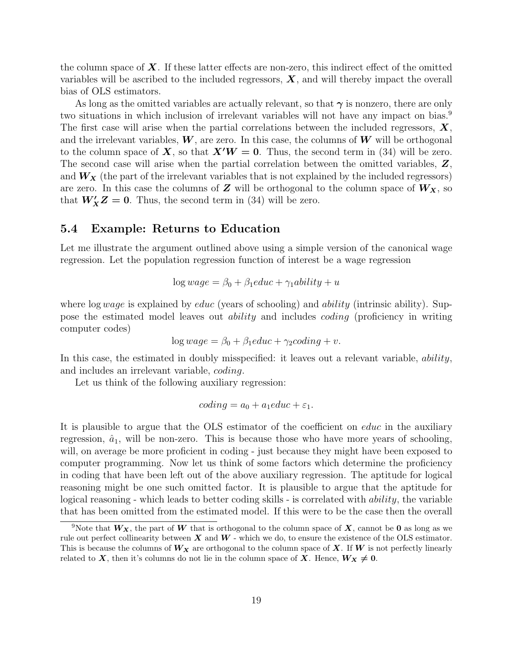the column space of  $\boldsymbol{X}$ . If these latter effects are non-zero, this indirect effect of the omitted variables will be ascribed to the included regressors,  $\boldsymbol{X}$ , and will thereby impact the overall bias of OLS estimators.

As long as the omitted variables are actually relevant, so that  $\gamma$  is nonzero, there are only two situations in which inclusion of irrelevant variables will not have any impact on bias.<sup>9</sup> The first case will arise when the partial correlations between the included regressors,  $\bm{X}$ . and the irrelevant variables,  $W$ , are zero. In this case, the columns of  $W$  will be orthogonal to the column space of X, so that  $X'W = 0$ . Thus, the second term in (34) will be zero. The second case will arise when the partial correlation between the omitted variables, Z, and  $W_X$  (the part of the irrelevant variables that is not explained by the included regressors) are zero. In this case the columns of  $Z$  will be orthogonal to the column space of  $W_X$ , so that  $W'_X Z = 0$ . Thus, the second term in (34) will be zero.

### 5.4 Example: Returns to Education

Let me illustrate the argument outlined above using a simple version of the canonical wage regression. Let the population regression function of interest be a wage regression

$$
\log wage = \beta_0 + \beta_1 educ + \gamma_1ability + u
$$

where  $\log wage$  is explained by *educ* (years of schooling) and *ability* (intrinsic ability). Suppose the estimated model leaves out *ability* and includes *coding* (proficiency in writing computer codes)

$$
\log wage = \beta_0 + \beta_1 educ + \gamma_2 coding + v.
$$

In this case, the estimated in doubly misspecified: it leaves out a relevant variable, *ability*, and includes an irrelevant variable, coding.

Let us think of the following auxiliary regression:

$$
coding = a_0 + a_1 educ + \varepsilon_1.
$$

It is plausible to argue that the OLS estimator of the coefficient on *educ* in the auxiliary regression,  $\hat{a}_1$ , will be non-zero. This is because those who have more years of schooling, will, on average be more proficient in coding - just because they might have been exposed to computer programming. Now let us think of some factors which determine the proficiency in coding that have been left out of the above auxiliary regression. The aptitude for logical reasoning might be one such omitted factor. It is plausible to argue that the aptitude for logical reasoning - which leads to better coding skills - is correlated with *ability*, the variable that has been omitted from the estimated model. If this were to be the case then the overall

<sup>&</sup>lt;sup>9</sup>Note that  $W_X$ , the part of W that is orthogonal to the column space of X, cannot be 0 as long as we rule out perfect collinearity between  $X$  and  $W$  - which we do, to ensure the existence of the OLS estimator. This is because the columns of  $W_X$  are orthogonal to the column space of X. If W is not perfectly linearly related to X, then it's columns do not lie in the column space of X. Hence,  $W_X \neq 0$ .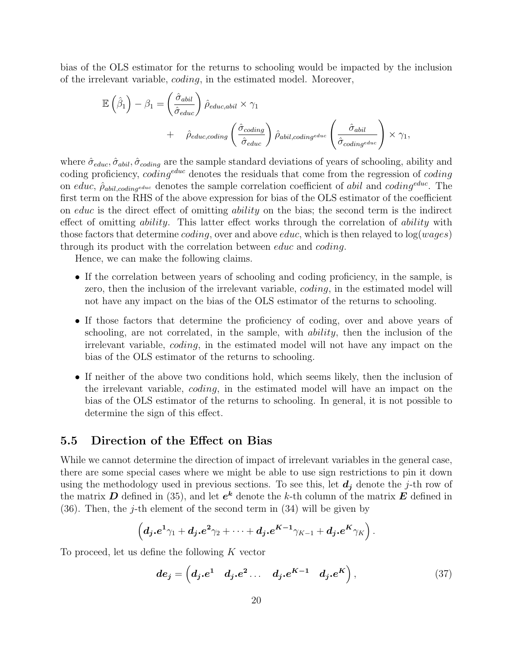bias of the OLS estimator for the returns to schooling would be impacted by the inclusion of the irrelevant variable, coding, in the estimated model. Moreover,

$$
\mathbb{E}\left(\hat{\beta}_1\right) - \beta_1 = \left(\frac{\hat{\sigma}_{abil}}{\hat{\sigma}_{educ}}\right) \hat{\rho}_{educ,abil} \times \gamma_1
$$
  
+  $\hat{\rho}_{educ,coding}\left(\frac{\hat{\sigma}_{coding}}{\hat{\sigma}_{educ}}\right) \hat{\rho}_{abil,coding^{educ}}\left(\frac{\hat{\sigma}_{colling}}{\hat{\sigma}_{coding^{educ}}}\right) \times \gamma_1,$ 

where  $\hat{\sigma}_{educ}, \hat{\sigma}_{abil}, \hat{\sigma}_{coding}$  are the sample standard deviations of years of schooling, ability and coding proficiency,  $coding^{educ}$  denotes the residuals that come from the regression of  $coding$ on educ,  $\hat{\rho}_{abil, coding^{eluc}}$  denotes the sample correlation coefficient of abil and coding<sup>educ</sup>. The first term on the RHS of the above expression for bias of the OLS estimator of the coefficient on educ is the direct effect of omitting ability on the bias; the second term is the indirect effect of omitting *ability*. This latter effect works through the correlation of *ability* with those factors that determine *coding*, over and above *educ*, which is then relayed to  $log(wages)$ through its product with the correlation between educ and coding.

Hence, we can make the following claims.

- If the correlation between years of schooling and coding proficiency, in the sample, is zero, then the inclusion of the irrelevant variable, *coding*, in the estimated model will not have any impact on the bias of the OLS estimator of the returns to schooling.
- If those factors that determine the proficiency of coding, over and above years of schooling, are not correlated, in the sample, with ability, then the inclusion of the irrelevant variable, coding, in the estimated model will not have any impact on the bias of the OLS estimator of the returns to schooling.
- If neither of the above two conditions hold, which seems likely, then the inclusion of the irrelevant variable, coding, in the estimated model will have an impact on the bias of the OLS estimator of the returns to schooling. In general, it is not possible to determine the sign of this effect.

### 5.5 Direction of the Effect on Bias

While we cannot determine the direction of impact of irrelevant variables in the general case, there are some special cases where we might be able to use sign restrictions to pin it down using the methodology used in previous sections. To see this, let  $d_j$  denote the j-th row of the matrix **D** defined in (35), and let  $e^{k}$  denote the k-th column of the matrix **E** defined in  $(36)$ . Then, the *j*-th element of the second term in  $(34)$  will be given by

$$
\left( \bm{d_j}.\bm{e^1}\gamma_1+\bm{d_j}.\bm{e^2}\gamma_2+\cdots+\bm{d_j}.\bm{e^{K-1}}\gamma_{K-1}+\bm{d_j}.\bm{e^{K}}\gamma_{K} \right).
$$

To proceed, let us define the following  $K$  vector

$$
de_j = \left(d_j.e^1 \quad d_j.e^2 \dots \quad d_j.e^{K-1} \quad d_j.e^K\right), \tag{37}
$$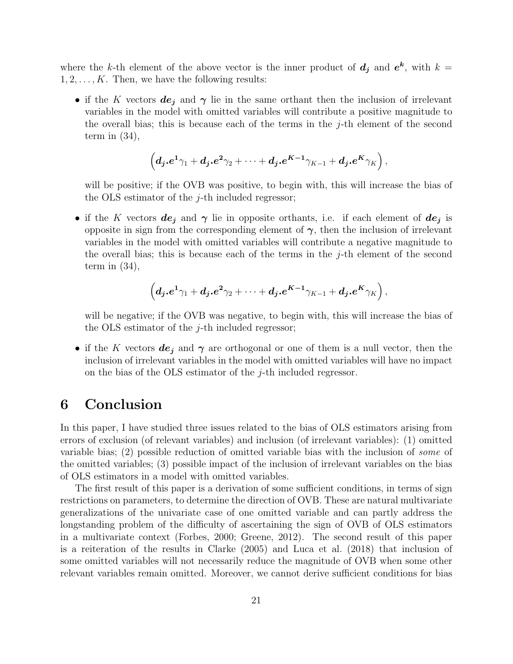where the k-th element of the above vector is the inner product of  $d_j$  and  $e^k$ , with  $k =$  $1, 2, \ldots, K$ . Then, we have the following results:

• if the K vectors  $de_j$  and  $\gamma$  lie in the same orthant then the inclusion of irrelevant variables in the model with omitted variables will contribute a positive magnitude to the overall bias; this is because each of the terms in the j-th element of the second term in (34),

$$
\left( \bm{d_j.} \bm{e^1} \gamma_1 + \bm{d_j.} \bm{e^2} \gamma_2 + \cdots + \bm{d_j.} \bm{e^{K-1}} \gamma_{K-1} + \bm{d_j.} \bm{e^K} \gamma_K \right),
$$

will be positive; if the OVB was positive, to begin with, this will increase the bias of the OLS estimator of the  $j$ -th included regressor;

• if the K vectors  $de_j$  and  $\gamma$  lie in opposite orthants, i.e. if each element of  $de_j$  is opposite in sign from the corresponding element of  $\gamma$ , then the inclusion of irrelevant variables in the model with omitted variables will contribute a negative magnitude to the overall bias; this is because each of the terms in the j-th element of the second term in  $(34)$ ,

$$
\left( \bm{d_j}.\bm{e^1}\gamma_1+\bm{d_j}.\bm{e^2}\gamma_2+\cdots+\bm{d_j}.\bm{e^{K-1}}\gamma_{K-1}+\bm{d_j}.\bm{e^{K}}\gamma_{K} \right),
$$

will be negative; if the OVB was negative, to begin with, this will increase the bias of the OLS estimator of the  $j$ -th included regressor;

• if the K vectors  $de_j$  and  $\gamma$  are orthogonal or one of them is a null vector, then the inclusion of irrelevant variables in the model with omitted variables will have no impact on the bias of the OLS estimator of the  $j$ -th included regressor.

# 6 Conclusion

In this paper, I have studied three issues related to the bias of OLS estimators arising from errors of exclusion (of relevant variables) and inclusion (of irrelevant variables): (1) omitted variable bias; (2) possible reduction of omitted variable bias with the inclusion of some of the omitted variables; (3) possible impact of the inclusion of irrelevant variables on the bias of OLS estimators in a model with omitted variables.

The first result of this paper is a derivation of some sufficient conditions, in terms of sign restrictions on parameters, to determine the direction of OVB. These are natural multivariate generalizations of the univariate case of one omitted variable and can partly address the longstanding problem of the difficulty of ascertaining the sign of OVB of OLS estimators in a multivariate context (Forbes, 2000; Greene, 2012). The second result of this paper is a reiteration of the results in Clarke (2005) and Luca et al. (2018) that inclusion of some omitted variables will not necessarily reduce the magnitude of OVB when some other relevant variables remain omitted. Moreover, we cannot derive sufficient conditions for bias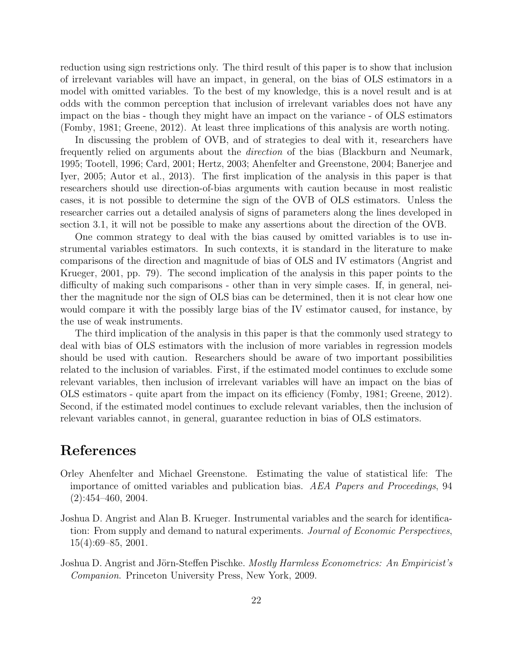reduction using sign restrictions only. The third result of this paper is to show that inclusion of irrelevant variables will have an impact, in general, on the bias of OLS estimators in a model with omitted variables. To the best of my knowledge, this is a novel result and is at odds with the common perception that inclusion of irrelevant variables does not have any impact on the bias - though they might have an impact on the variance - of OLS estimators (Fomby, 1981; Greene, 2012). At least three implications of this analysis are worth noting.

In discussing the problem of OVB, and of strategies to deal with it, researchers have frequently relied on arguments about the direction of the bias (Blackburn and Neumark, 1995; Tootell, 1996; Card, 2001; Hertz, 2003; Ahenfelter and Greenstone, 2004; Banerjee and Iyer, 2005; Autor et al., 2013). The first implication of the analysis in this paper is that researchers should use direction-of-bias arguments with caution because in most realistic cases, it is not possible to determine the sign of the OVB of OLS estimators. Unless the researcher carries out a detailed analysis of signs of parameters along the lines developed in section 3.1, it will not be possible to make any assertions about the direction of the OVB.

One common strategy to deal with the bias caused by omitted variables is to use instrumental variables estimators. In such contexts, it is standard in the literature to make comparisons of the direction and magnitude of bias of OLS and IV estimators (Angrist and Krueger, 2001, pp. 79). The second implication of the analysis in this paper points to the difficulty of making such comparisons - other than in very simple cases. If, in general, neither the magnitude nor the sign of OLS bias can be determined, then it is not clear how one would compare it with the possibly large bias of the IV estimator caused, for instance, by the use of weak instruments.

The third implication of the analysis in this paper is that the commonly used strategy to deal with bias of OLS estimators with the inclusion of more variables in regression models should be used with caution. Researchers should be aware of two important possibilities related to the inclusion of variables. First, if the estimated model continues to exclude some relevant variables, then inclusion of irrelevant variables will have an impact on the bias of OLS estimators - quite apart from the impact on its efficiency (Fomby, 1981; Greene, 2012). Second, if the estimated model continues to exclude relevant variables, then the inclusion of relevant variables cannot, in general, guarantee reduction in bias of OLS estimators.

# References

- Orley Ahenfelter and Michael Greenstone. Estimating the value of statistical life: The importance of omitted variables and publication bias. AEA Papers and Proceedings, 94 (2):454–460, 2004.
- Joshua D. Angrist and Alan B. Krueger. Instrumental variables and the search for identification: From supply and demand to natural experiments. Journal of Economic Perspectives, 15(4):69–85, 2001.
- Joshua D. Angrist and Jörn-Steffen Pischke. Mostly Harmless Econometrics: An Empiricist's Companion. Princeton University Press, New York, 2009.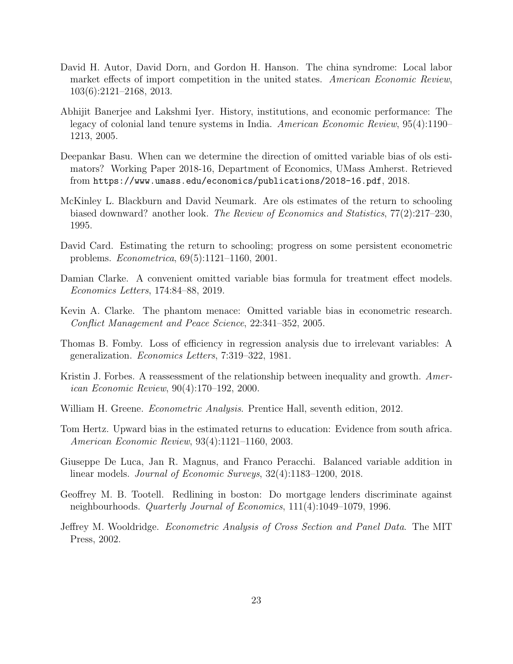- David H. Autor, David Dorn, and Gordon H. Hanson. The china syndrome: Local labor market effects of import competition in the united states. American Economic Review, 103(6):2121–2168, 2013.
- Abhijit Banerjee and Lakshmi Iyer. History, institutions, and economic performance: The legacy of colonial land tenure systems in India. American Economic Review, 95(4):1190-1213, 2005.
- Deepankar Basu. When can we determine the direction of omitted variable bias of ols estimators? Working Paper 2018-16, Department of Economics, UMass Amherst. Retrieved from https://www.umass.edu/economics/publications/2018-16.pdf, 2018.
- McKinley L. Blackburn and David Neumark. Are ols estimates of the return to schooling biased downward? another look. The Review of Economics and Statistics, 77(2):217–230, 1995.
- David Card. Estimating the return to schooling; progress on some persistent econometric problems. Econometrica, 69(5):1121–1160, 2001.
- Damian Clarke. A convenient omitted variable bias formula for treatment effect models. Economics Letters, 174:84–88, 2019.
- Kevin A. Clarke. The phantom menace: Omitted variable bias in econometric research. Conflict Management and Peace Science, 22:341–352, 2005.
- Thomas B. Fomby. Loss of efficiency in regression analysis due to irrelevant variables: A generalization. Economics Letters, 7:319–322, 1981.
- Kristin J. Forbes. A reassessment of the relationship between inequality and growth. American Economic Review, 90(4):170–192, 2000.
- William H. Greene. *Econometric Analysis*. Prentice Hall, seventh edition, 2012.
- Tom Hertz. Upward bias in the estimated returns to education: Evidence from south africa. American Economic Review, 93(4):1121–1160, 2003.
- Giuseppe De Luca, Jan R. Magnus, and Franco Peracchi. Balanced variable addition in linear models. Journal of Economic Surveys, 32(4):1183–1200, 2018.
- Geoffrey M. B. Tootell. Redlining in boston: Do mortgage lenders discriminate against neighbourhoods. Quarterly Journal of Economics, 111(4):1049–1079, 1996.
- Jeffrey M. Wooldridge. Econometric Analysis of Cross Section and Panel Data. The MIT Press, 2002.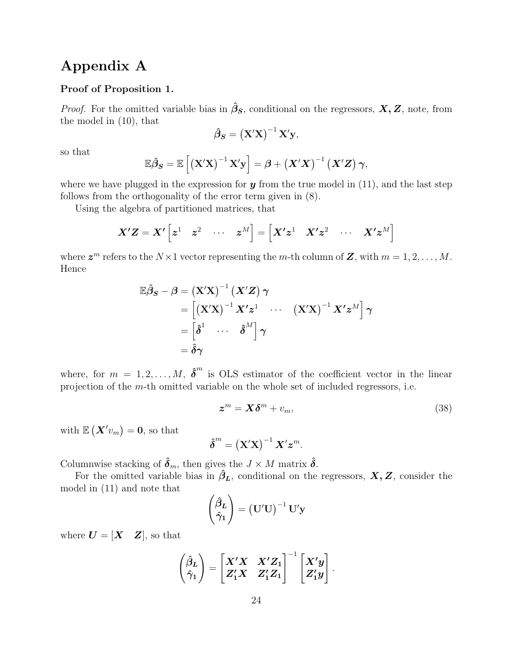# Appendix A

### Proof of Proposition 1.

*Proof.* For the omitted variable bias in  $\hat{\beta}_s$ , conditional on the regressors,  $X, Z$ , note, from the model in (10), that

$$
\hat{\boldsymbol{\beta}}_{\boldsymbol{S}} = \left(\mathbf{X}'\mathbf{X}\right)^{-1}\mathbf{X}'\mathbf{y},
$$

so that

$$
\mathbb{E}\hat{\beta}_S=\mathbb{E}\left[\left(\mathbf{X}'\mathbf{X}\right)^{-1}\mathbf{X}'\mathbf{y}\right]=\boldsymbol{\beta}+\left(\mathbf{X}'\mathbf{X}\right)^{-1}\left(\mathbf{X}'\mathbf{Z}\right)\boldsymbol{\gamma},
$$

where we have plugged in the expression for  $y$  from the true model in (11), and the last step follows from the orthogonality of the error term given in (8).

Using the algebra of partitioned matrices, that

$$
X'Z = X'\begin{bmatrix} z^1 & z^2 & \cdots & z^M \end{bmatrix} = \begin{bmatrix} X'z^1 & X'z^2 & \cdots & X'z^M \end{bmatrix}
$$

where  $\boldsymbol{z}^m$  refers to the  $N \times 1$  vector representing the m-th column of  $\boldsymbol{Z}$ , with  $m = 1, 2, ..., M$ . Hence

$$
\mathbb{E}\hat{\beta}_S - \beta = \left(\mathbf{X}'\mathbf{X}\right)^{-1} \left(\mathbf{X}'\mathbf{Z}\right) \gamma \\ = \left[\left(\mathbf{X}'\mathbf{X}\right)^{-1} \mathbf{X}' z^1 \quad \cdots \quad \left(\mathbf{X}'\mathbf{X}\right)^{-1} \mathbf{X}' z^M\right] \gamma \\ = \left[\hat{\delta}^1 \quad \cdots \quad \hat{\delta}^M\right] \gamma \\ = \hat{\delta} \gamma
$$

where, for  $m = 1, 2, ..., M$ ,  $\hat{\boldsymbol{\delta}}^m$  is OLS estimator of the coefficient vector in the linear projection of the m-th omitted variable on the whole set of included regressors, i.e.

$$
z^m = X\delta^m + v_m,\tag{38}
$$

with  $\mathbb{E}\left(\boldsymbol{X}'\hat{v}_{m}\right)=\boldsymbol{0}$ , so that

$$
\hat{\pmb \delta}^m = \left( \mathbf{X}' \mathbf{X} \right)^{-1} \mathbf{X}' \mathbf{z}^m.
$$

Columnwise stacking of  $\hat{\delta}_m$ , then gives the  $J \times M$  matrix  $\hat{\delta}$ .

For the omitted variable bias in  $\hat{\beta}_L$ , conditional on the regressors,  $X, Z$ , consider the model in (11) and note that

$$
\begin{pmatrix} \hat{\beta}_L \\ \hat{\gamma}_1 \end{pmatrix} = \left(\mathbf{U}'\mathbf{U}\right)^{-1} \mathbf{U}'\mathbf{y}
$$

where  $\boldsymbol{U} = [\boldsymbol{X} \quad \boldsymbol{Z}],$  so that

$$
\begin{pmatrix} \hat{\beta}_L \\ \hat{\gamma}_1 \end{pmatrix} = \begin{bmatrix} X'X & X'Z_1 \\ Z_1'X & Z_1'Z_1 \end{bmatrix}^{-1} \begin{bmatrix} X'y \\ Z_1'y \end{bmatrix}.
$$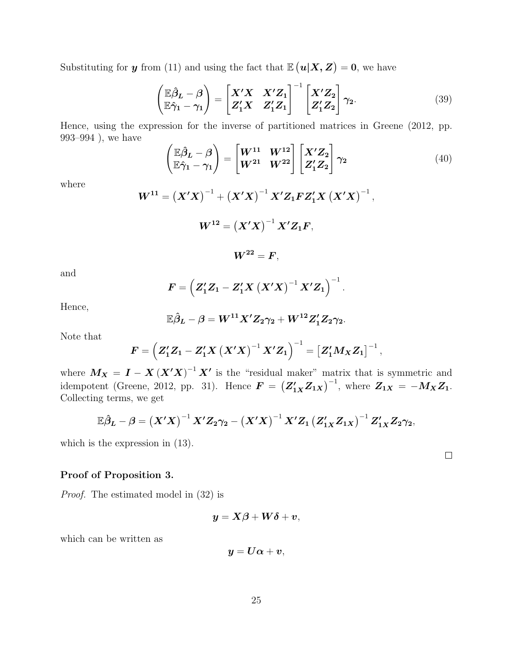Substituting for **y** from (11) and using the fact that  $\mathbb{E}(\mathbf{u}|\mathbf{X}, \mathbf{Z}) = \mathbf{0}$ , we have

$$
\begin{pmatrix} \mathbb{E}\hat{\beta}_L - \beta \\ \mathbb{E}\hat{\gamma}_1 - \gamma_1 \end{pmatrix} = \begin{bmatrix} X'X & X'Z_1 \\ Z'_1X & Z'_1Z_1 \end{bmatrix}^{-1} \begin{bmatrix} X'Z_2 \\ Z'_1Z_2 \end{bmatrix} \gamma_2.
$$
 (39)

Hence, using the expression for the inverse of partitioned matrices in Greene (2012, pp. 993–994 ), we have

$$
\begin{pmatrix} \mathbb{E}\hat{\beta}_L - \beta \\ \mathbb{E}\hat{\gamma}_1 - \gamma_1 \end{pmatrix} = \begin{bmatrix} W^{11} & W^{12} \\ W^{21} & W^{22} \end{bmatrix} \begin{bmatrix} X'Z_2 \\ Z'_1Z_2 \end{bmatrix} \gamma_2
$$
\n(40)

where

$$
W^{11} = \left( X'X \right)^{-1} + \left( X'X \right)^{-1} X' Z_1 F Z_1' X \left( X'X \right)^{-1},
$$
  

$$
W^{12} = \left( X'X \right)^{-1} X' Z_1 F,
$$

$$
W^{22}=F,
$$

and

$$
\boldsymbol{F} = \left( \boldsymbol{Z}_1' \boldsymbol{Z}_1 - \boldsymbol{Z}_1' \boldsymbol{X} \left( \boldsymbol{X}' \boldsymbol{X} \right)^{-1} \boldsymbol{X}' \boldsymbol{Z}_1 \right)^{-1}.
$$

Hence,

$$
\mathbb{E}\hat{\beta}_L-\beta=W^{11}X'Z_2\gamma_2+W^{12}Z_1'Z_2\gamma_2.
$$

Note that

$$
\boldsymbol{F} = \left( \boldsymbol{Z}_1' \boldsymbol{Z}_1 - \boldsymbol{Z}_1' \boldsymbol{X} \left( \boldsymbol{X}' \boldsymbol{X} \right)^{-1} \boldsymbol{X}' \boldsymbol{Z}_1 \right)^{-1} = \left[ \boldsymbol{Z}_1' \boldsymbol{M}_X \boldsymbol{Z}_1 \right]^{-1},
$$

where  $M_X = I - X (X'X)^{-1} X'$  is the "residual maker" matrix that is symmetric and idempotent (Greene, 2012, pp. 31). Hence  $\boldsymbol{F} = \left( \boldsymbol{Z}_{1X}' \boldsymbol{Z}_{1X} \right)^{-1}$ , where  $\boldsymbol{Z}_{1X} = -M_X \boldsymbol{Z}_1$ . Collecting terms, we get

$$
\mathbb{E}\hat{\beta}_L - \beta = (X'X)^{-1}X'Z_2\gamma_2 - (X'X)^{-1}X'Z_1 (Z'_{1X}Z_{1X})^{-1}Z'_{1X}Z_2\gamma_2,
$$

which is the expression in (13).

#### Proof of Proposition 3.

Proof. The estimated model in (32) is

$$
\boldsymbol{y} = \boldsymbol{X}\boldsymbol{\beta} + \boldsymbol{W}\boldsymbol{\delta} + \boldsymbol{v},
$$

which can be written as

$$
\boldsymbol{y} = \boldsymbol{U}\boldsymbol{\alpha} + \boldsymbol{v},
$$

 $\Box$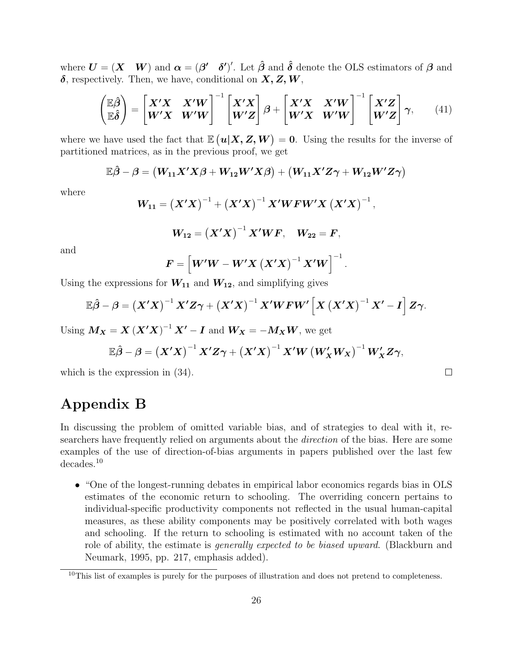where  $\bm{U} = (\bm{X} \ \ \bm{W})$  and  $\bm{\alpha} = (\bm{\beta'} \ \ \bm{\delta'})'$ . Let  $\hat{\bm{\beta}}$  and  $\hat{\bm{\delta}}$  denote the OLS estimators of  $\bm{\beta}$  and  $\delta$ , respectively. Then, we have, conditional on  $X, Z, W$ ,

$$
\begin{pmatrix} \mathbb{E}\hat{\beta} \\ \mathbb{E}\hat{\delta} \end{pmatrix} = \begin{bmatrix} X'X & X'W \\ W'X & W'W \end{bmatrix}^{-1} \begin{bmatrix} X'X \\ W'Z \end{bmatrix} \beta + \begin{bmatrix} X'X & X'W \\ W'X & W'W \end{bmatrix}^{-1} \begin{bmatrix} X'Z \\ W'Z \end{bmatrix} \gamma, \qquad (41)
$$

where we have used the fact that  $\mathbb{E} (u|X, Z, W) = 0$ . Using the results for the inverse of partitioned matrices, as in the previous proof, we get

$$
\mathbb{E}\hat{\beta}-\beta=\big(W_{11}X'X\beta+W_{12}W'X\beta\big)+\big(W_{11}X'Z\gamma+W_{12}W'Z\gamma\big)
$$

where

$$
W_{11} = (X'X)^{-1} + (X'X)^{-1} X'WFW'X (X'X)^{-1},
$$

$$
W_{12} = \left( X'X \right)^{-1} X'WF, \quad W_{22} = F,
$$

and

$$
\boldsymbol{F} = \left[ \boldsymbol{W'W} - \boldsymbol{W'X} \left( \boldsymbol{X'X} \right)^{-1} \boldsymbol{X'W} \right]^{-1}.
$$

Using the expressions for  $W_{11}$  and  $W_{12}$ , and simplifying gives

$$
\mathbb{E}\hat{\beta}-\beta=\left(\boldsymbol{X}'\boldsymbol{X}\right)^{-1}\boldsymbol{X}'\boldsymbol{Z}\boldsymbol{\gamma}+\left(\boldsymbol{X}'\boldsymbol{X}\right)^{-1}\boldsymbol{X}'\boldsymbol{W}\boldsymbol{F}\boldsymbol{W}'\left[\boldsymbol{X}\left(\boldsymbol{X}'\boldsymbol{X}\right)^{-1}\boldsymbol{X}'-\boldsymbol{I}\right]\boldsymbol{Z}\boldsymbol{\gamma}.
$$

Using  $M_X = X (X'X)^{-1} X' - I$  and  $W_X = -M_XW$ , we get

$$
\mathbb{E}\hat{\beta}-\beta=\left(X'X\right)^{-1}X'Z\gamma+\left(X'X\right)^{-1}X'W\left(W'_XW_X\right)^{-1}W'_XZ\gamma,
$$

 $\Box$ 

which is the expression in (34).

# Appendix B

In discussing the problem of omitted variable bias, and of strategies to deal with it, researchers have frequently relied on arguments about the direction of the bias. Here are some examples of the use of direction-of-bias arguments in papers published over the last few decades.<sup>10</sup>

• "One of the longest-running debates in empirical labor economics regards bias in OLS estimates of the economic return to schooling. The overriding concern pertains to individual-specific productivity components not reflected in the usual human-capital measures, as these ability components may be positively correlated with both wages and schooling. If the return to schooling is estimated with no account taken of the role of ability, the estimate is *generally expected to be biased upward*. (Blackburn and Neumark, 1995, pp. 217, emphasis added).

<sup>&</sup>lt;sup>10</sup>This list of examples is purely for the purposes of illustration and does not pretend to completeness.